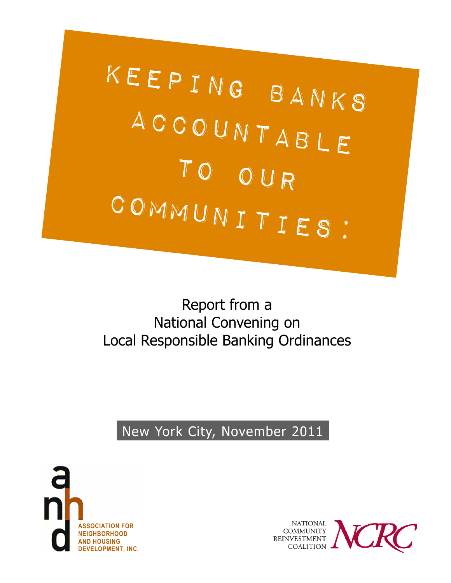

## Report from a National Convening on Local Responsible Banking Ordinances

New York City, November 2011



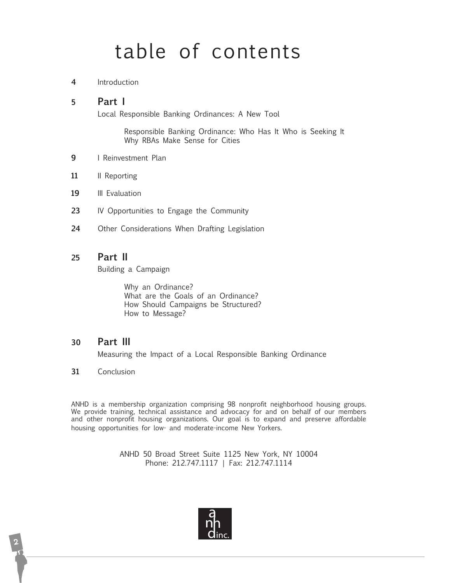# table of contents

**4** Introduction

#### **5 Part I**

Local Responsible Banking Ordinances: A New Tool

 Responsible Banking Ordinance: Who Has It Who is Seeking It Why RBAs Make Sense for Cities

- **9** I Reinvestment Plan
- 11 **II** Reporting
- 19 **III** Evaluation
- **23** IV Opportunities to Engage the Community
- **24** Other Considerations When Drafting Legislation

#### **25 Part II**

Building a Campaign

 Why an Ordinance? What are the Goals of an Ordinance? How Should Campaigns be Structured? How to Message?

#### **30 Part III**

Measuring the Impact of a Local Responsible Banking Ordinance

**31** Conclusion

ANHD is a membership organization comprising 98 nonprofit neighborhood housing groups. We provide training, technical assistance and advocacy for and on behalf of our members and other nonprofit housing organizations. Our goal is to expand and preserve affordable housing opportunities for low- and moderate-income New Yorkers.

> ANHD 50 Broad Street Suite 1125 New York, NY 10004 Phone: 212.747.1117 | Fax: 212.747.1114

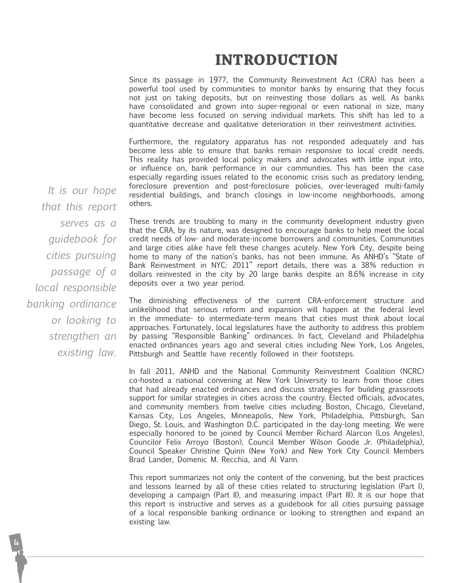### **INTRODUCTION**

Since its passage in 1977, the Community Reinvestment Act (CRA) has been a powerful tool used by communities to monitor banks by ensuring that they focus not just on taking deposits, but on reinvesting those dollars as well. As banks have consolidated and grown into super-regional or even national in size, many have become less focused on serving individual markets. This shift has led to a quantitative decrease and qualitative deterioration in their reinvestment activities.

Furthermore, the regulatory apparatus has not responded adequately and has become less able to ensure that banks remain responsive to local credit needs. This reality has provided local policy makers and advocates with little input into, or influence on, bank performance in our communities. This has been the case especially regarding issues related to the economic crisis such as predatory lending, foreclosure prevention and post-foreclosure policies, over-leveraged multi-family residential buildings, and branch closings in low-income neighborhoods, among others.

*It is our hope that this report serves as a guidebook for cities pursuing passage of a local responsible banking ordinance or looking to strengthen an existing law.*

These trends are troubling to many in the community development industry given that the CRA, by its nature, was designed to encourage banks to help meet the local credit needs of low- and moderate-income borrowers and communities. Communities and large cities alike have felt these changes acutely. New York City, despite being home to many of the nation's banks, has not been immune. As ANHD's "State of Bank Reinvestment in NYC: 2011" report details, there was a 38% reduction in dollars reinvested in the city by 20 large banks despite an 8.6% increase in city deposits over a two year period.

The diminishing effectiveness of the current CRA-enforcement structure and unlikelihood that serious reform and expansion will happen at the federal level in the immediate- to intermediate-term means that cities must think about local approaches. Fortunately, local legislatures have the authority to address this problem by passing "Responsible Banking" ordinances. In fact, Cleveland and Philadelphia enacted ordinances years ago and several cities including New York, Los Angeles, Pittsburgh and Seattle have recently followed in their footsteps.

In fall 2011, ANHD and the National Community Reinvestment Coalition (NCRC) co-hosted a national convening at New York University to learn from those cities that had already enacted ordinances and discuss strategies for building grassroots support for similar strategies in cities across the country. Elected officials, advocates, and community members from twelve cities including Boston, Chicago, Cleveland, Kansas City, Los Angeles, Minneapolis, New York, Philadelphia, Pittsburgh, San Diego, St. Louis, and Washington D.C. participated in the day-long meeting. We were especially honored to be joined by Council Member Richard Alarcon (Los Angeles), Councilor Felix Arroyo (Boston), Council Member Wilson Goode Jr. (Philadelphia), Council Speaker Christine Quinn (New York) and New York City Council Members Brad Lander, Domenic M. Recchia, and Al Vann.

This report summarizes not only the content of the convening, but the best practices and lessons learned by all of these cities related to structuring legislation (Part I), developing a campaign (Part II), and measuring impact (Part III). It is our hope that this report is instructive and serves as a guidebook for all cities pursuing passage of a local responsible banking ordinance or looking to strengthen and expand an existing law.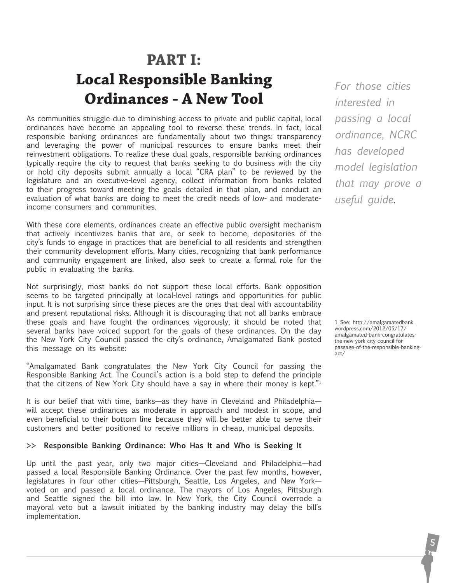## **PART I: Local Responsible Banking Ordinances - A New Tool**

As communities struggle due to diminishing access to private and public capital, local ordinances have become an appealing tool to reverse these trends. In fact, local responsible banking ordinances are fundamentally about two things: transparency and leveraging the power of municipal resources to ensure banks meet their reinvestment obligations. To realize these dual goals, responsible banking ordinances typically require the city to request that banks seeking to do business with the city or hold city deposits submit annually a local "CRA plan" to be reviewed by the legislature and an executive-level agency, collect information from banks related to their progress toward meeting the goals detailed in that plan, and conduct an evaluation of what banks are doing to meet the credit needs of low- and moderateincome consumers and communities.

With these core elements, ordinances create an effective public oversight mechanism that actively incentivizes banks that are, or seek to become, depositories of the city's funds to engage in practices that are beneficial to all residents and strengthen their community development efforts. Many cities, recognizing that bank performance and community engagement are linked, also seek to create a formal role for the public in evaluating the banks.

Not surprisingly, most banks do not support these local efforts. Bank opposition seems to be targeted principally at local-level ratings and opportunities for public input. It is not surprising since these pieces are the ones that deal with accountability and present reputational risks. Although it is discouraging that not all banks embrace these goals and have fought the ordinances vigorously, it should be noted that several banks have voiced support for the goals of these ordinances. On the day the New York City Council passed the city's ordinance, Amalgamated Bank posted this message on its website:

"Amalgamated Bank congratulates the New York City Council for passing the Responsible Banking Act. The Council's action is a bold step to defend the principle that the citizens of New York City should have a say in where their money is kept."1

It is our belief that with time, banks—as they have in Cleveland and Philadelphia will accept these ordinances as moderate in approach and modest in scope, and even beneficial to their bottom line because they will be better able to serve their customers and better positioned to receive millions in cheap, municipal deposits.

#### **>> Responsible Banking Ordinance: Who Has It and Who is Seeking It**

Up until the past year, only two major cities—Cleveland and Philadelphia—had passed a local Responsible Banking Ordinance. Over the past few months, however, legislatures in four other cities—Pittsburgh, Seattle, Los Angeles, and New York voted on and passed a local ordinance. The mayors of Los Angeles, Pittsburgh and Seattle signed the bill into law. In New York, the City Council overrode a mayoral veto but a lawsuit initiated by the banking industry may delay the bill's implementation.

*For those cities interested in passing a local ordinance, NCRC has developed model legislation that may prove a useful guide.* 

1 See: http://amalgamatedbank. wordpress.com/2012/05/17/ amalgamated-bank-congratulatesthe-new-york-city-council-forpassage-of-the-responsible-bankingact/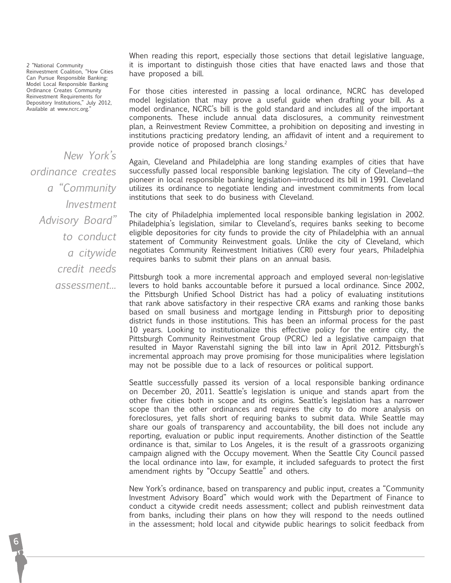2 "National Community Reinvestment Coalition, "How Cities Can Pursue Responsible Banking: Model Local Responsible Banking Ordinance Creates Community Reinvestment Requirements for Depository Institutions," July 2012, Available at www.ncrc.org.'

*New York's ordinance creates a "Community Investment Advisory Board" to conduct a citywide credit needs assessment...*

When reading this report, especially those sections that detail legislative language, it is important to distinguish those cities that have enacted laws and those that have proposed a bill.

For those cities interested in passing a local ordinance, NCRC has developed model legislation that may prove a useful guide when drafting your bill. As a model ordinance, NCRC's bill is the gold standard and includes all of the important components. These include annual data disclosures, a community reinvestment plan, a Reinvestment Review Committee, a prohibition on depositing and investing in institutions practicing predatory lending, an affidavit of intent and a requirement to provide notice of proposed branch closings.2

Again, Cleveland and Philadelphia are long standing examples of cities that have successfully passed local responsible banking legislation. The city of Cleveland—the pioneer in local responsible banking legislation—introduced its bill in 1991. Cleveland utilizes its ordinance to negotiate lending and investment commitments from local institutions that seek to do business with Cleveland.

The city of Philadelphia implemented local responsible banking legislation in 2002. Philadelphia's legislation, similar to Cleveland's, requires banks seeking to become eligible depositories for city funds to provide the city of Philadelphia with an annual statement of Community Reinvestment goals. Unlike the city of Cleveland, which negotiates Community Reinvestment Initiatives (CRI) every four years, Philadelphia requires banks to submit their plans on an annual basis.

Pittsburgh took a more incremental approach and employed several non-legislative levers to hold banks accountable before it pursued a local ordinance. Since 2002, the Pittsburgh Unified School District has had a policy of evaluating institutions that rank above satisfactory in their respective CRA exams and ranking those banks based on small business and mortgage lending in Pittsburgh prior to depositing district funds in those institutions. This has been an informal process for the past 10 years. Looking to institutionalize this effective policy for the entire city, the Pittsburgh Community Reinvestment Group (PCRC) led a legislative campaign that resulted in Mayor Ravenstahl signing the bill into law in April 2012. Pittsburgh's incremental approach may prove promising for those municipalities where legislation may not be possible due to a lack of resources or political support.

Seattle successfully passed its version of a local responsible banking ordinance on December 20, 2011. Seattle's legislation is unique and stands apart from the other five cities both in scope and its origins. Seattle's legislation has a narrower scope than the other ordinances and requires the city to do more analysis on foreclosures, yet falls short of requiring banks to submit data. While Seattle may share our goals of transparency and accountability, the bill does not include any reporting, evaluation or public input requirements. Another distinction of the Seattle ordinance is that, similar to Los Angeles, it is the result of a grassroots organizing campaign aligned with the Occupy movement. When the Seattle City Council passed the local ordinance into law, for example, it included safeguards to protect the first amendment rights by "Occupy Seattle" and others.

New York's ordinance, based on transparency and public input, creates a "Community Investment Advisory Board" which would work with the Department of Finance to conduct a citywide credit needs assessment; collect and publish reinvestment data from banks, including their plans on how they will respond to the needs outlined in the assessment; hold local and citywide public hearings to solicit feedback from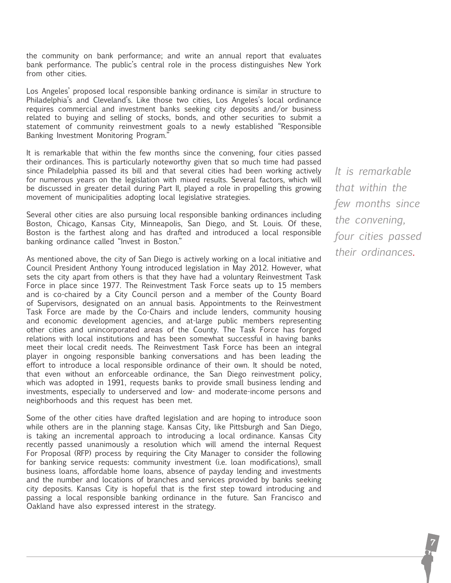the community on bank performance; and write an annual report that evaluates bank performance. The public's central role in the process distinguishes New York from other cities.

Los Angeles' proposed local responsible banking ordinance is similar in structure to Philadelphia's and Cleveland's. Like those two cities, Los Angeles's local ordinance requires commercial and investment banks seeking city deposits and/or business related to buying and selling of stocks, bonds, and other securities to submit a statement of community reinvestment goals to a newly established "Responsible Banking Investment Monitoring Program."

It is remarkable that within the few months since the convening, four cities passed their ordinances. This is particularly noteworthy given that so much time had passed since Philadelphia passed its bill and that several cities had been working actively for numerous years on the legislation with mixed results. Several factors, which will be discussed in greater detail during Part II, played a role in propelling this growing movement of municipalities adopting local legislative strategies.

Several other cities are also pursuing local responsible banking ordinances including Boston, Chicago, Kansas City, Minneapolis, San Diego, and St. Louis. Of these, Boston is the farthest along and has drafted and introduced a local responsible banking ordinance called "Invest in Boston."

As mentioned above, the city of San Diego is actively working on a local initiative and Council President Anthony Young introduced legislation in May 2012. However, what sets the city apart from others is that they have had a voluntary Reinvestment Task Force in place since 1977. The Reinvestment Task Force seats up to 15 members and is co-chaired by a City Council person and a member of the County Board of Supervisors, designated on an annual basis. Appointments to the Reinvestment Task Force are made by the Co-Chairs and include lenders, community housing and economic development agencies, and at-large public members representing other cities and unincorporated areas of the County. The Task Force has forged relations with local institutions and has been somewhat successful in having banks meet their local credit needs. The Reinvestment Task Force has been an integral player in ongoing responsible banking conversations and has been leading the effort to introduce a local responsible ordinance of their own. It should be noted, that even without an enforceable ordinance, the San Diego reinvestment policy, which was adopted in 1991, requests banks to provide small business lending and investments, especially to underserved and low- and moderate-income persons and neighborhoods and this request has been met.

Some of the other cities have drafted legislation and are hoping to introduce soon while others are in the planning stage. Kansas City, like Pittsburgh and San Diego, is taking an incremental approach to introducing a local ordinance. Kansas City recently passed unanimously a resolution which will amend the internal Request For Proposal (RFP) process by requiring the City Manager to consider the following for banking service requests: community investment (i.e. loan modifications), small business loans, affordable home loans, absence of payday lending and investments and the number and locations of branches and services provided by banks seeking city deposits. Kansas City is hopeful that is the first step toward introducing and passing a local responsible banking ordinance in the future. San Francisco and Oakland have also expressed interest in the strategy.

*It is remarkable that within the few months since the convening, four cities passed their ordinances.*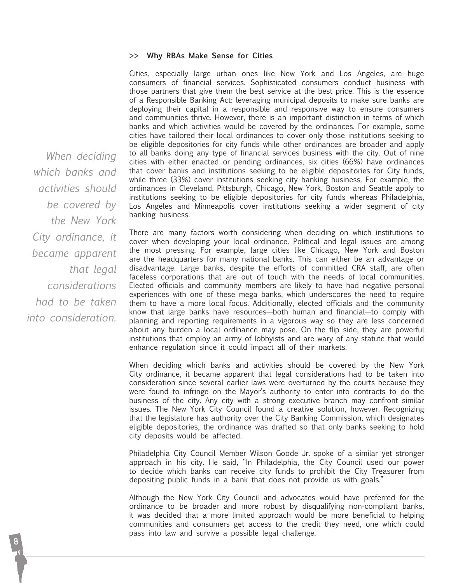#### **>> Why RBAs Make Sense for Cities**

Cities, especially large urban ones like New York and Los Angeles, are huge consumers of financial services. Sophisticated consumers conduct business with those partners that give them the best service at the best price. This is the essence of a Responsible Banking Act: leveraging municipal deposits to make sure banks are deploying their capital in a responsible and responsive way to ensure consumers and communities thrive. However, there is an important distinction in terms of which banks and which activities would be covered by the ordinances. For example, some cities have tailored their local ordinances to cover only those institutions seeking to be eligible depositories for city funds while other ordinances are broader and apply to all banks doing any type of financial services business with the city. Out of nine cities with either enacted or pending ordinances, six cities (66%) have ordinances that cover banks and institutions seeking to be eligible depositories for City funds, while three (33%) cover institutions seeking city banking business. For example, the ordinances in Cleveland, Pittsburgh, Chicago, New York, Boston and Seattle apply to institutions seeking to be eligible depositories for city funds whereas Philadelphia, Los Angeles and Minneapolis cover institutions seeking a wider segment of city banking business.

There are many factors worth considering when deciding on which institutions to cover when developing your local ordinance. Political and legal issues are among the most pressing. For example, large cities like Chicago, New York and Boston are the headquarters for many national banks. This can either be an advantage or disadvantage. Large banks, despite the efforts of committed CRA staff, are often faceless corporations that are out of touch with the needs of local communities. Elected officials and community members are likely to have had negative personal experiences with one of these mega banks, which underscores the need to require them to have a more local focus. Additionally, elected officials and the community know that large banks have resources—both human and financial—to comply with planning and reporting requirements in a vigorous way so they are less concerned about any burden a local ordinance may pose. On the flip side, they are powerful institutions that employ an army of lobbyists and are wary of any statute that would enhance regulation since it could impact all of their markets.

When deciding which banks and activities should be covered by the New York City ordinance, it became apparent that legal considerations had to be taken into consideration since several earlier laws were overturned by the courts because they were found to infringe on the Mayor's authority to enter into contracts to do the business of the city. Any city with a strong executive branch may confront similar issues. The New York City Council found a creative solution, however. Recognizing that the legislature has authority over the City Banking Commission, which designates eligible depositories, the ordinance was drafted so that only banks seeking to hold city deposits would be affected.

Philadelphia City Council Member Wilson Goode Jr. spoke of a similar yet stronger approach in his city. He said, "In Philadelphia, the City Council used our power to decide which banks can receive city funds to prohibit the City Treasurer from depositing public funds in a bank that does not provide us with goals."

Although the New York City Council and advocates would have preferred for the ordinance to be broader and more robust by disqualifying non-compliant banks, it was decided that a more limited approach would be more beneficial to helping communities and consumers get access to the credit they need, one which could pass into law and survive a possible legal challenge.

*When deciding which banks and activities should be covered by the New York City ordinance, it became apparent that legal considerations had to be taken into consideration.*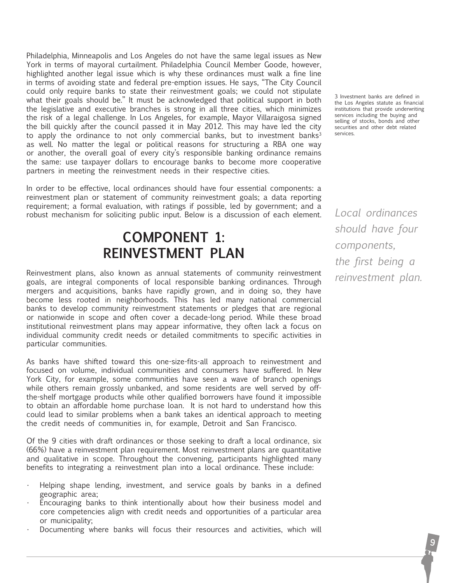Philadelphia, Minneapolis and Los Angeles do not have the same legal issues as New York in terms of mayoral curtailment. Philadelphia Council Member Goode, however, highlighted another legal issue which is why these ordinances must walk a fine line in terms of avoiding state and federal pre-emption issues. He says, "The City Council could only require banks to state their reinvestment goals; we could not stipulate what their goals should be." It must be acknowledged that political support in both the legislative and executive branches is strong in all three cities, which minimizes the risk of a legal challenge. In Los Angeles, for example, Mayor Villaraigosa signed the bill quickly after the council passed it in May 2012. This may have led the city to apply the ordinance to not only commercial banks, but to investment banks<sup>3</sup> as well. No matter the legal or political reasons for structuring a RBA one way or another, the overall goal of every city's responsible banking ordinance remains the same: use taxpayer dollars to encourage banks to become more cooperative partners in meeting the reinvestment needs in their respective cities.

In order to be effective, local ordinances should have four essential components: a reinvestment plan or statement of community reinvestment goals; a data reporting requirement; a formal evaluation, with ratings if possible, led by government; and a robust mechanism for soliciting public input. Below is a discussion of each element.

### **component 1: Reinvestment Plan**

Reinvestment plans, also known as annual statements of community reinvestment goals, are integral components of local responsible banking ordinances. Through mergers and acquisitions, banks have rapidly grown, and in doing so, they have become less rooted in neighborhoods. This has led many national commercial banks to develop community reinvestment statements or pledges that are regional or nationwide in scope and often cover a decade-long period. While these broad institutional reinvestment plans may appear informative, they often lack a focus on individual community credit needs or detailed commitments to specific activities in particular communities.

As banks have shifted toward this one-size-fits-all approach to reinvestment and focused on volume, individual communities and consumers have suffered. In New York City, for example, some communities have seen a wave of branch openings while others remain grossly unbanked, and some residents are well served by offthe-shelf mortgage products while other qualified borrowers have found it impossible to obtain an affordable home purchase loan. It is not hard to understand how this could lead to similar problems when a bank takes an identical approach to meeting the credit needs of communities in, for example, Detroit and San Francisco.

Of the 9 cities with draft ordinances or those seeking to draft a local ordinance, six (66%) have a reinvestment plan requirement. Most reinvestment plans are quantitative and qualitative in scope. Throughout the convening, participants highlighted many benefits to integrating a reinvestment plan into a local ordinance. These include:

- Helping shape lending, investment, and service goals by banks in a defined geographic area;
- Encouraging banks to think intentionally about how their business model and core competencies align with credit needs and opportunities of a particular area or municipality;
- Documenting where banks will focus their resources and activities, which will

3 Investment banks are defined in the Los Angeles statute as financial institutions that provide underwriting services including the buying and selling of stocks, bonds and other securities and other debt related services.

*Local ordinances should have four components, the first being a reinvestment plan.*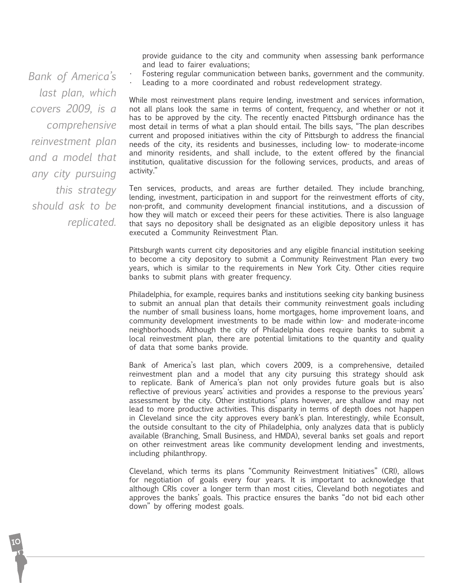provide guidance to the city and community when assessing bank performance and lead to fairer evaluations;

Fostering regular communication between banks, government and the community.

Leading to a more coordinated and robust redevelopment strategy.

While most reinvestment plans require lending, investment and services information, not all plans look the same in terms of content, frequency, and whether or not it has to be approved by the city. The recently enacted Pittsburgh ordinance has the most detail in terms of what a plan should entail. The bills says, "The plan describes current and proposed initiatives within the city of Pittsburgh to address the financial needs of the city, its residents and businesses, including low- to moderate-income and minority residents, and shall include, to the extent offered by the financial institution, qualitative discussion for the following services, products, and areas of activity."

Ten services, products, and areas are further detailed. They include branching, lending, investment, participation in and support for the reinvestment efforts of city, non-profit, and community development financial institutions, and a discussion of how they will match or exceed their peers for these activities. There is also language that says no depository shall be designated as an eligible depository unless it has executed a Community Reinvestment Plan.

Pittsburgh wants current city depositories and any eligible financial institution seeking to become a city depository to submit a Community Reinvestment Plan every two years, which is similar to the requirements in New York City. Other cities require banks to submit plans with greater frequency.

Philadelphia, for example, requires banks and institutions seeking city banking business to submit an annual plan that details their community reinvestment goals including the number of small business loans, home mortgages, home improvement loans, and community development investments to be made within low- and moderate-income neighborhoods. Although the city of Philadelphia does require banks to submit a local reinvestment plan, there are potential limitations to the quantity and quality of data that some banks provide.

Bank of America's last plan, which covers 2009, is a comprehensive, detailed reinvestment plan and a model that any city pursuing this strategy should ask to replicate. Bank of America's plan not only provides future goals but is also reflective of previous years' activities and provides a response to the previous years' assessment by the city. Other institutions' plans however, are shallow and may not lead to more productive activities. This disparity in terms of depth does not happen in Cleveland since the city approves every bank's plan. Interestingly, while Econsult, the outside consultant to the city of Philadelphia, only analyzes data that is publicly available (Branching, Small Business, and HMDA), several banks set goals and report on other reinvestment areas like community development lending and investments, including philanthropy.

Cleveland, which terms its plans "Community Reinvestment Initiatives" (CRI), allows for negotiation of goals every four years. It is important to acknowledge that although CRIs cover a longer term than most cities, Cleveland both negotiates and approves the banks' goals. This practice ensures the banks "do not bid each other down" by offering modest goals.

*Bank of America's last plan, which covers 2009, is a comprehensive reinvestment plan and a model that any city pursuing this strategy should ask to be replicated.*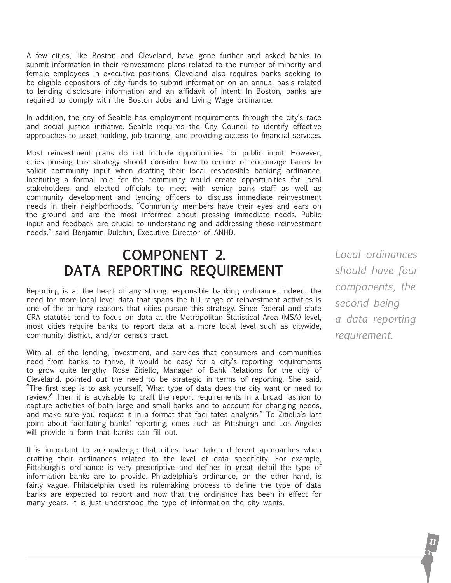A few cities, like Boston and Cleveland, have gone further and asked banks to submit information in their reinvestment plans related to the number of minority and female employees in executive positions. Cleveland also requires banks seeking to be eligible depositors of city funds to submit information on an annual basis related to lending disclosure information and an affidavit of intent. In Boston, banks are required to comply with the Boston Jobs and Living Wage ordinance.

In addition, the city of Seattle has employment requirements through the city's race and social justice initiative. Seattle requires the City Council to identify effective approaches to asset building, job training, and providing access to financial services.

Most reinvestment plans do not include opportunities for public input. However, cities pursing this strategy should consider how to require or encourage banks to solicit community input when drafting their local responsible banking ordinance. Instituting a formal role for the community would create opportunities for local stakeholders and elected officials to meet with senior bank staff as well as community development and lending officers to discuss immediate reinvestment needs in their neighborhoods. "Community members have their eyes and ears on the ground and are the most informed about pressing immediate needs. Public input and feedback are crucial to understanding and addressing those reinvestment needs," said Benjamin Dulchin, Executive Director of ANHD.

### **component 2. Data Reporting requirement**

Reporting is at the heart of any strong responsible banking ordinance. Indeed, the need for more local level data that spans the full range of reinvestment activities is one of the primary reasons that cities pursue this strategy. Since federal and state CRA statutes tend to focus on data at the Metropolitan Statistical Area (MSA) level, most cities require banks to report data at a more local level such as citywide, community district, and/or census tract.

With all of the lending, investment, and services that consumers and communities need from banks to thrive, it would be easy for a city's reporting requirements to grow quite lengthy. Rose Zitiello, Manager of Bank Relations for the city of Cleveland, pointed out the need to be strategic in terms of reporting. She said, "The first step is to ask yourself, 'What type of data does the city want or need to review?' Then it is advisable to craft the report requirements in a broad fashion to capture activities of both large and small banks and to account for changing needs, and make sure you request it in a format that facilitates analysis." To Zitiello's last point about facilitating banks' reporting, cities such as Pittsburgh and Los Angeles will provide a form that banks can fill out.

It is important to acknowledge that cities have taken different approaches when drafting their ordinances related to the level of data specificity. For example, Pittsburgh's ordinance is very prescriptive and defines in great detail the type of information banks are to provide. Philadelphia's ordinance, on the other hand, is fairly vague. Philadelphia used its rulemaking process to define the type of data banks are expected to report and now that the ordinance has been in effect for many years, it is just understood the type of information the city wants.

*Local ordinances should have four components, the second being a data reporting requirement.*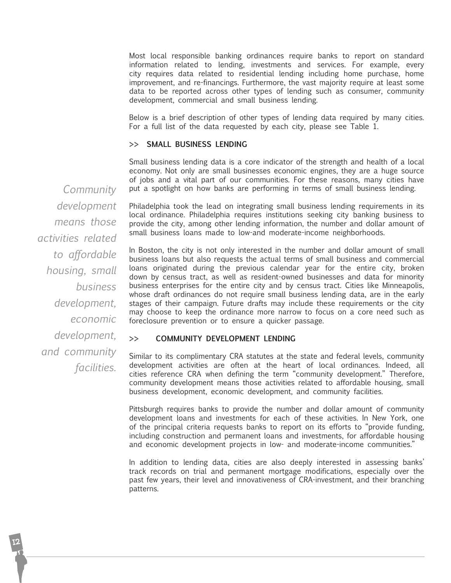Most local responsible banking ordinances require banks to report on standard information related to lending, investments and services. For example, every city requires data related to residential lending including home purchase, home improvement, and re-financings. Furthermore, the vast majority require at least some data to be reported across other types of lending such as consumer, community development, commercial and small business lending.

Below is a brief description of other types of lending data required by many cities. For a full list of the data requested by each city, please see Table 1.

#### **>> Small Business Lending**

Small business lending data is a core indicator of the strength and health of a local economy. Not only are small businesses economic engines, they are a huge source of jobs and a vital part of our communities. For these reasons, many cities have put a spotlight on how banks are performing in terms of small business lending.

*Community development means those activities related to affordable housing, small business development, economic development, and community facilities.*

Philadelphia took the lead on integrating small business lending requirements in its local ordinance. Philadelphia requires institutions seeking city banking business to provide the city, among other lending information, the number and dollar amount of small business loans made to low-and moderate-income neighborhoods.

In Boston, the city is not only interested in the number and dollar amount of small business loans but also requests the actual terms of small business and commercial loans originated during the previous calendar year for the entire city, broken down by census tract, as well as resident-owned businesses and data for minority business enterprises for the entire city and by census tract. Cities like Minneapolis, whose draft ordinances do not require small business lending data, are in the early stages of their campaign. Future drafts may include these requirements or the city may choose to keep the ordinance more narrow to focus on a core need such as foreclosure prevention or to ensure a quicker passage.

#### **>> Community Development Lending**

Similar to its complimentary CRA statutes at the state and federal levels, community development activities are often at the heart of local ordinances. Indeed, all cities reference CRA when defining the term "community development." Therefore, community development means those activities related to affordable housing, small business development, economic development, and community facilities.

Pittsburgh requires banks to provide the number and dollar amount of community development loans and investments for each of these activities. In New York, one of the principal criteria requests banks to report on its efforts to "provide funding, including construction and permanent loans and investments, for affordable housing and economic development projects in low- and moderate-income communities."

In addition to lending data, cities are also deeply interested in assessing banks' track records on trial and permanent mortgage modifications, especially over the past few years, their level and innovativeness of CRA-investment, and their branching patterns.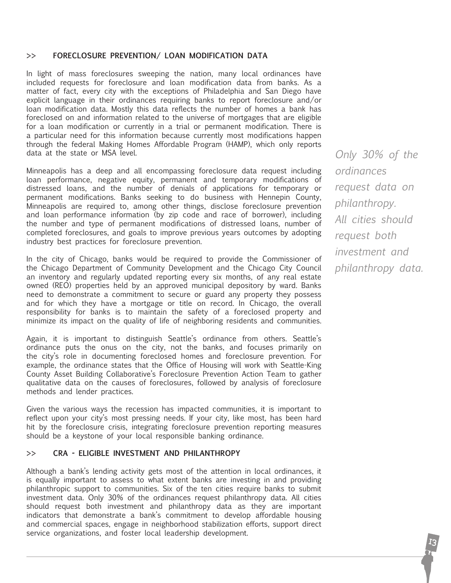#### **>> Foreclosure Prevention/ Loan Modification Data**

In light of mass foreclosures sweeping the nation, many local ordinances have included requests for foreclosure and loan modification data from banks. As a matter of fact, every city with the exceptions of Philadelphia and San Diego have explicit language in their ordinances requiring banks to report foreclosure and/or loan modification data. Mostly this data reflects the number of homes a bank has foreclosed on and information related to the universe of mortgages that are eligible for a loan modification or currently in a trial or permanent modification. There is a particular need for this information because currently most modifications happen through the federal Making Homes Affordable Program (HAMP), which only reports data at the state or MSA level.

Minneapolis has a deep and all encompassing foreclosure data request including loan performance, negative equity, permanent and temporary modifications of distressed loans, and the number of denials of applications for temporary or permanent modifications. Banks seeking to do business with Hennepin County, Minneapolis are required to, among other things, disclose foreclosure prevention and loan performance information (by zip code and race of borrower), including the number and type of permanent modifications of distressed loans, number of completed foreclosures, and goals to improve previous years outcomes by adopting industry best practices for foreclosure prevention.

In the city of Chicago, banks would be required to provide the Commissioner of the Chicago Department of Community Development and the Chicago City Council an inventory and regularly updated reporting every six months, of any real estate owned (REO) properties held by an approved municipal depository by ward. Banks need to demonstrate a commitment to secure or guard any property they possess and for which they have a mortgage or title on record. In Chicago, the overall responsibility for banks is to maintain the safety of a foreclosed property and minimize its impact on the quality of life of neighboring residents and communities.

Again, it is important to distinguish Seattle's ordinance from others. Seattle's ordinance puts the onus on the city, not the banks, and focuses primarily on the city's role in documenting foreclosed homes and foreclosure prevention. For example, the ordinance states that the Office of Housing will work with Seattle-King County Asset Building Collaborative's Foreclosure Prevention Action Team to gather qualitative data on the causes of foreclosures, followed by analysis of foreclosure methods and lender practices.

Given the various ways the recession has impacted communities, it is important to reflect upon your city's most pressing needs. If your city, like most, has been hard hit by the foreclosure crisis, integrating foreclosure prevention reporting measures should be a keystone of your local responsible banking ordinance.

#### **>> CRA - Eligible Investment and Philanthropy**

Although a bank's lending activity gets most of the attention in local ordinances, it is equally important to assess to what extent banks are investing in and providing philanthropic support to communities. Six of the ten cities require banks to submit investment data. Only 30% of the ordinances request philanthropy data. All cities should request both investment and philanthropy data as they are important indicators that demonstrate a bank's commitment to develop affordable housing and commercial spaces, engage in neighborhood stabilization efforts, support direct service organizations, and foster local leadership development.

*Only 30% of the ordinances request data on philanthropy. All cities should request both investment and philanthropy data.*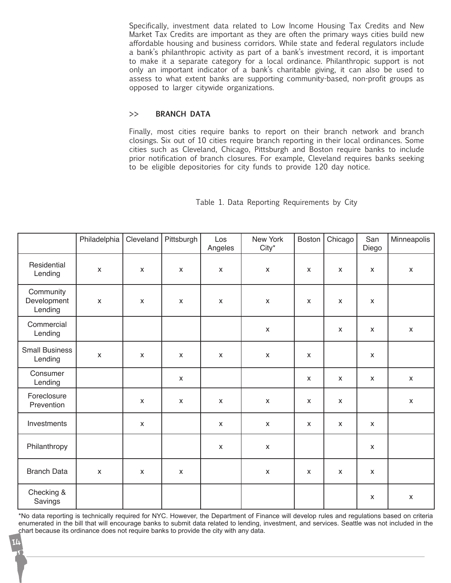Specifically, investment data related to Low Income Housing Tax Credits and New Market Tax Credits are important as they are often the primary ways cities build new affordable housing and business corridors. While state and federal regulators include a bank's philanthropic activity as part of a bank's investment record, it is important to make it a separate category for a local ordinance. Philanthropic support is not only an important indicator of a bank's charitable giving, it can also be used to assess to what extent banks are supporting community-based, non-profit groups as opposed to larger citywide organizations.

#### **>> Branch data**

Finally, most cities require banks to report on their branch network and branch closings. Six out of 10 cities require branch reporting in their local ordinances. Some cities such as Cleveland, Chicago, Pittsburgh and Boston require banks to include prior notification of branch closures. For example, Cleveland requires banks seeking to be eligible depositories for city funds to provide 120 day notice.

|                                     | Philadelphia              | Cleveland    | Pittsburgh         | Los<br>Angeles | New York<br>City*         | Boston       | Chicago                   | San<br>Diego              | Minneapolis        |
|-------------------------------------|---------------------------|--------------|--------------------|----------------|---------------------------|--------------|---------------------------|---------------------------|--------------------|
| Residential<br>Lending              | $\pmb{\chi}$              | X            | X                  | $\pmb{\chi}$   | $\mathsf{X}$              | X            | $\pmb{\chi}$              | $\pmb{\chi}$              | $\pmb{\mathsf{X}}$ |
| Community<br>Development<br>Lending | $\boldsymbol{\mathsf{x}}$ | $\mathsf{x}$ | $\pmb{\mathsf{X}}$ | $\pmb{\chi}$   | $\pmb{\chi}$              | X            | $\pmb{\chi}$              | $\pmb{\chi}$              |                    |
| Commercial<br>Lending               |                           |              |                    |                | $\boldsymbol{\mathsf{x}}$ |              | $\boldsymbol{\mathsf{x}}$ | $\boldsymbol{\mathsf{x}}$ | $\pmb{\mathsf{X}}$ |
| <b>Small Business</b><br>Lending    | $\mathsf{x}$              | $\mathsf{x}$ | $\mathsf{x}$       | $\mathsf{x}$   | $\pmb{\chi}$              | $\mathsf{x}$ |                           | $\boldsymbol{\mathsf{x}}$ |                    |
| Consumer<br>Lending                 |                           |              | X                  |                |                           | X            | X                         | $\boldsymbol{\mathsf{x}}$ | X                  |
| Foreclosure<br>Prevention           |                           | $\mathsf{x}$ | $\mathsf{x}$       | $\pmb{\times}$ | $\pmb{\chi}$              | X            | $\pmb{\chi}$              |                           | $\mathsf{X}$       |
| Investments                         |                           | $\mathsf{x}$ |                    | $\pmb{\times}$ | $\pmb{\mathsf{X}}$        | X            | $\pmb{\chi}$              | $\pmb{\chi}$              |                    |
| Philanthropy                        |                           |              |                    | $\pmb{\times}$ | $\pmb{\mathsf{X}}$        |              |                           | $\pmb{\mathsf{X}}$        |                    |
| <b>Branch Data</b>                  | $\pmb{\chi}$              | $\mathsf{x}$ | $\pmb{\times}$     |                | $\pmb{\mathsf{X}}$        | X            | $\pmb{\chi}$              | $\pmb{\chi}$              |                    |
| Checking &<br>Savings               |                           |              |                    |                |                           |              |                           | X                         | $\pmb{\mathsf{X}}$ |

Table 1. Data Reporting Requirements by City

\*No data reporting is technically required for NYC. However, the Department of Finance will develop rules and regulations based on criteria enumerated in the bill that will encourage banks to submit data related to lending, investment, and services. Seattle was not included in the chart because its ordinance does not require banks to provide the city with any data.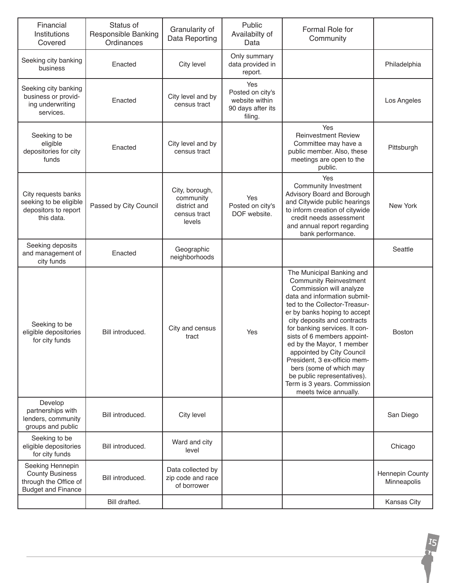| Financial<br>Institutions<br>Covered                                                             | Status of<br>Responsible Banking<br>Ordinances | Granularity of<br>Data Reporting                                      | Public<br>Availabilty of<br>Data                                          | Formal Role for<br>Community                                                                                                                                                                                                                                                                                                                                                                                                                                                                      |                                |
|--------------------------------------------------------------------------------------------------|------------------------------------------------|-----------------------------------------------------------------------|---------------------------------------------------------------------------|---------------------------------------------------------------------------------------------------------------------------------------------------------------------------------------------------------------------------------------------------------------------------------------------------------------------------------------------------------------------------------------------------------------------------------------------------------------------------------------------------|--------------------------------|
| Seeking city banking<br>business                                                                 | Enacted                                        | City level                                                            | Only summary<br>data provided in<br>report.                               |                                                                                                                                                                                                                                                                                                                                                                                                                                                                                                   | Philadelphia                   |
| Seeking city banking<br>business or provid-<br>ing underwriting<br>services.                     | Enacted                                        | City level and by<br>census tract                                     | Yes<br>Posted on city's<br>website within<br>90 days after its<br>filing. |                                                                                                                                                                                                                                                                                                                                                                                                                                                                                                   | Los Angeles                    |
| Seeking to be<br>eligible<br>depositories for city<br>funds                                      | Enacted                                        | City level and by<br>census tract                                     |                                                                           | Yes<br><b>Reinvestment Review</b><br>Committee may have a<br>public member. Also, these<br>meetings are open to the<br>public.                                                                                                                                                                                                                                                                                                                                                                    | Pittsburgh                     |
| City requests banks<br>seeking to be eligible<br>depositors to report<br>this data.              | Passed by City Council                         | City, borough,<br>community<br>district and<br>census tract<br>levels | Yes<br>Posted on city's<br>DOF website.                                   | Yes<br>Community Investment<br>Advisory Board and Borough<br>and Citywide public hearings<br>to inform creation of citywide<br>credit needs assessment<br>and annual report regarding<br>bank performance.                                                                                                                                                                                                                                                                                        | New York                       |
| Seeking deposits<br>and management of<br>city funds                                              | Enacted                                        | Geographic<br>neighborhoods                                           |                                                                           |                                                                                                                                                                                                                                                                                                                                                                                                                                                                                                   | Seattle                        |
| Seeking to be<br>eligible depositories<br>for city funds                                         | Bill introduced.                               | City and census<br>tract                                              | Yes                                                                       | The Municipal Banking and<br><b>Community Reinvestment</b><br>Commission will analyze<br>data and information submit-<br>ted to the Collector-Treasur-<br>er by banks hoping to accept<br>city deposits and contracts<br>for banking services. It con-<br>sists of 6 members appoint-<br>ed by the Mayor, 1 member<br>appointed by City Council<br>President, 3 ex-officio mem-<br>bers (some of which may<br>be public representatives).<br>Term is 3 years. Commission<br>meets twice annually. | <b>Boston</b>                  |
| Develop<br>partnerships with<br>lenders, community<br>groups and public                          | Bill introduced.                               | City level                                                            |                                                                           |                                                                                                                                                                                                                                                                                                                                                                                                                                                                                                   | San Diego                      |
| Seeking to be<br>eligible depositories<br>for city funds                                         | Bill introduced.                               | Ward and city<br>level                                                |                                                                           |                                                                                                                                                                                                                                                                                                                                                                                                                                                                                                   | Chicago                        |
| Seeking Hennepin<br><b>County Business</b><br>through the Office of<br><b>Budget and Finance</b> | Bill introduced.                               | Data collected by<br>zip code and race<br>of borrower                 |                                                                           |                                                                                                                                                                                                                                                                                                                                                                                                                                                                                                   | Hennepin County<br>Minneapolis |
|                                                                                                  | Bill drafted.                                  |                                                                       |                                                                           |                                                                                                                                                                                                                                                                                                                                                                                                                                                                                                   | Kansas City                    |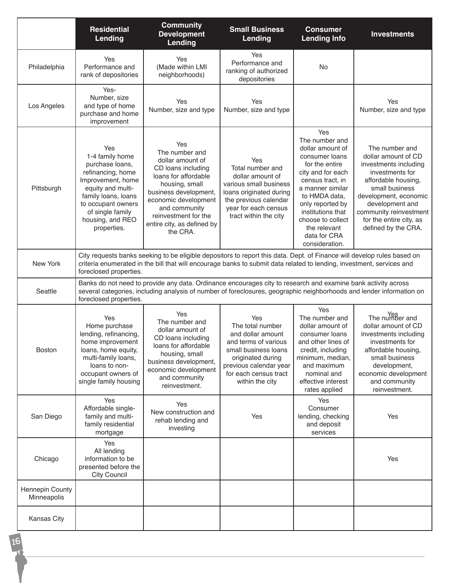|                                | <b>Residential</b><br>Lending                                                                                                                                                                                                                                              | <b>Community</b><br><b>Development</b><br>Lending                                                                                                                                                                                             | <b>Small Business</b><br>Lending                                                                                                                                                        | <b>Consumer</b><br><b>Lending Info</b>                                                                                                                                                                                                                                      | <b>Investments</b>                                                                                                                                                                                                                                 |  |
|--------------------------------|----------------------------------------------------------------------------------------------------------------------------------------------------------------------------------------------------------------------------------------------------------------------------|-----------------------------------------------------------------------------------------------------------------------------------------------------------------------------------------------------------------------------------------------|-----------------------------------------------------------------------------------------------------------------------------------------------------------------------------------------|-----------------------------------------------------------------------------------------------------------------------------------------------------------------------------------------------------------------------------------------------------------------------------|----------------------------------------------------------------------------------------------------------------------------------------------------------------------------------------------------------------------------------------------------|--|
| Philadelphia                   | Yes<br>Performance and<br>rank of depositories                                                                                                                                                                                                                             | Yes<br>(Made within LMI<br>neighborhoods)                                                                                                                                                                                                     | Yes<br>Performance and<br>ranking of authorized<br>depositories                                                                                                                         | <b>No</b>                                                                                                                                                                                                                                                                   |                                                                                                                                                                                                                                                    |  |
| Los Angeles                    | Yes-<br>Number, size<br>and type of home<br>purchase and home<br>improvement                                                                                                                                                                                               | Yes<br>Number, size and type                                                                                                                                                                                                                  | Yes<br>Number, size and type                                                                                                                                                            |                                                                                                                                                                                                                                                                             | Yes<br>Number, size and type                                                                                                                                                                                                                       |  |
| Pittsburgh                     | Yes<br>1-4 family home<br>purchase loans,<br>refinancing, home<br>Improvement, home<br>equity and multi-<br>family loans, loans<br>to occupant owners<br>of single family<br>housing, and REO<br>properties.                                                               | Yes<br>The number and<br>dollar amount of<br>CD loans including<br>loans for affordable<br>housing, small<br>business development,<br>economic development<br>and community<br>reinvestment for the<br>entire city, as defined by<br>the CRA. | Yes<br>Total number and<br>dollar amount of<br>various small business<br>loans originated during<br>the previous calendar<br>year for each census<br>tract within the city              | Yes<br>The number and<br>dollar amount of<br>consumer loans<br>for the entire<br>city and for each<br>census tract, in<br>a manner similar<br>to HMDA data,<br>only reported by<br>institutions that<br>choose to collect<br>the relevant<br>data for CRA<br>consideration. | The number and<br>dollar amount of CD<br>investments including<br>investments for<br>affordable housing,<br>small business<br>development, economic<br>development and<br>community reinvestment<br>for the entire city, as<br>defined by the CRA. |  |
| New York                       | City requests banks seeking to be eligible depositors to report this data. Dept. of Finance will develop rules based on<br>criteria enumerated in the bill that will encourage banks to submit data related to lending, investment, services and<br>foreclosed properties. |                                                                                                                                                                                                                                               |                                                                                                                                                                                         |                                                                                                                                                                                                                                                                             |                                                                                                                                                                                                                                                    |  |
| Seattle                        | Banks do not need to provide any data. Ordinance encourages city to research and examine bank activity across<br>several categories, including analysis of number of foreclosures, geographic neighborhoods and lender information on<br>foreclosed properties.            |                                                                                                                                                                                                                                               |                                                                                                                                                                                         |                                                                                                                                                                                                                                                                             |                                                                                                                                                                                                                                                    |  |
| Boston                         | Yes<br>Home purchase<br>lending, refinancing,<br>home improvement<br>loans, home equity,<br>multi-family loans,<br>loans to non-<br>occupant owners of<br>single family housing                                                                                            | Yes<br>The number and<br>dollar amount of<br>CD loans including<br>loans for affordable<br>housing, small<br>business development,<br>economic development<br>and community<br>reinvestment.                                                  | Yes<br>The total number<br>and dollar amount<br>and terms of various<br>small business loans<br>originated during<br>previous calendar year<br>for each census tract<br>within the city | Yes<br>The number and<br>dollar amount of<br>consumer loans<br>and other lines of<br>credit, including<br>minimum, median,<br>and maximum<br>nominal and<br>effective interest<br>rates applied                                                                             | Yes<br>The number and<br>dollar amount of CD<br>investments including<br>investments for<br>affordable housing,<br>small business<br>development,<br>economic development<br>and community<br>reinvestment.                                        |  |
| San Diego                      | Yes<br>Affordable single-<br>family and multi-<br>family residential<br>mortgage                                                                                                                                                                                           | Yes<br>New construction and<br>rehab lending and<br>investing                                                                                                                                                                                 | Yes                                                                                                                                                                                     | Yes<br>Consumer<br>lending, checking<br>and deposit<br>services                                                                                                                                                                                                             | Yes                                                                                                                                                                                                                                                |  |
| Chicago                        | Yes<br>All lending<br>information to be<br>presented before the<br><b>City Council</b>                                                                                                                                                                                     |                                                                                                                                                                                                                                               |                                                                                                                                                                                         |                                                                                                                                                                                                                                                                             | Yes                                                                                                                                                                                                                                                |  |
| Hennepin County<br>Minneapolis |                                                                                                                                                                                                                                                                            |                                                                                                                                                                                                                                               |                                                                                                                                                                                         |                                                                                                                                                                                                                                                                             |                                                                                                                                                                                                                                                    |  |
| Kansas City                    |                                                                                                                                                                                                                                                                            |                                                                                                                                                                                                                                               |                                                                                                                                                                                         |                                                                                                                                                                                                                                                                             |                                                                                                                                                                                                                                                    |  |

16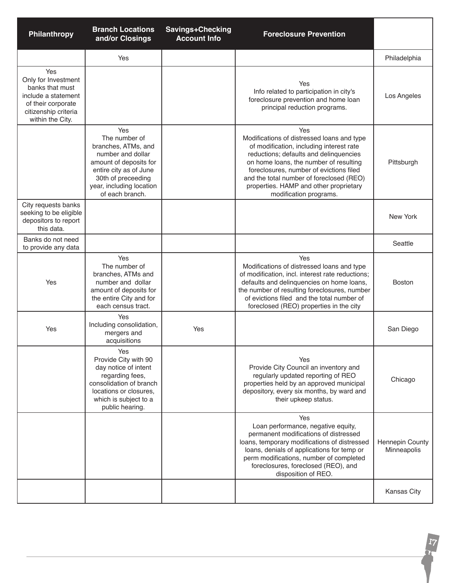| Philanthropy                                                                                                                           | <b>Branch Locations</b><br>and/or Closings                                                                                                                                                | <b>Savings+Checking</b><br><b>Account Info</b> | <b>Foreclosure Prevention</b>                                                                                                                                                                                                                                                                                                                |                                |
|----------------------------------------------------------------------------------------------------------------------------------------|-------------------------------------------------------------------------------------------------------------------------------------------------------------------------------------------|------------------------------------------------|----------------------------------------------------------------------------------------------------------------------------------------------------------------------------------------------------------------------------------------------------------------------------------------------------------------------------------------------|--------------------------------|
|                                                                                                                                        | Yes                                                                                                                                                                                       |                                                |                                                                                                                                                                                                                                                                                                                                              | Philadelphia                   |
| Yes<br>Only for Investment<br>banks that must<br>include a statement<br>of their corporate<br>citizenship criteria<br>within the City. |                                                                                                                                                                                           |                                                | Yes<br>Info related to participation in city's<br>foreclosure prevention and home loan<br>principal reduction programs.                                                                                                                                                                                                                      | Los Angeles                    |
|                                                                                                                                        | Yes<br>The number of<br>branches, ATMs, and<br>number and dollar<br>amount of deposits for<br>entire city as of June<br>30th of preceeding<br>year, including location<br>of each branch. |                                                | Yes<br>Modifications of distressed loans and type<br>of modification, including interest rate<br>reductions; defaults and delinquencies<br>on home loans, the number of resulting<br>foreclosures, number of evictions filed<br>and the total number of foreclosed (REO)<br>properties. HAMP and other proprietary<br>modification programs. | Pittsburgh                     |
| City requests banks<br>seeking to be eligible<br>depositors to report<br>this data.                                                    |                                                                                                                                                                                           |                                                |                                                                                                                                                                                                                                                                                                                                              | New York                       |
| Banks do not need<br>to provide any data                                                                                               |                                                                                                                                                                                           |                                                |                                                                                                                                                                                                                                                                                                                                              | Seattle                        |
| Yes                                                                                                                                    | Yes<br>The number of<br>branches, ATMs and<br>number and dollar<br>amount of deposits for<br>the entire City and for<br>each census tract.                                                |                                                | Yes<br>Modifications of distressed loans and type<br>of modification, incl. interest rate reductions;<br>defaults and delinquencies on home loans,<br>the number of resulting foreclosures, number<br>of evictions filed and the total number of<br>foreclosed (REO) properties in the city                                                  | <b>Boston</b>                  |
| Yes                                                                                                                                    | Yes<br>Including consolidation,<br>mergers and<br>acquisitions                                                                                                                            | Yes                                            |                                                                                                                                                                                                                                                                                                                                              | San Diego                      |
|                                                                                                                                        | Yes<br>Provide City with 90<br>day notice of intent<br>regarding fees,<br>consolidation of branch<br>locations or closures,<br>which is subject to a<br>public hearing.                   |                                                | Yes<br>Provide City Council an inventory and<br>regularly updated reporting of REO<br>properties held by an approved municipal<br>depository, every six months, by ward and<br>their upkeep status.                                                                                                                                          | Chicago                        |
|                                                                                                                                        |                                                                                                                                                                                           |                                                | Yes<br>Loan performance, negative equity,<br>permanent modifications of distressed<br>loans, temporary modifications of distressed<br>loans, denials of applications for temp or<br>perm modifications, number of completed<br>foreclosures, foreclosed (REO), and<br>disposition of REO.                                                    | Hennepin County<br>Minneapolis |
|                                                                                                                                        |                                                                                                                                                                                           |                                                |                                                                                                                                                                                                                                                                                                                                              | Kansas City                    |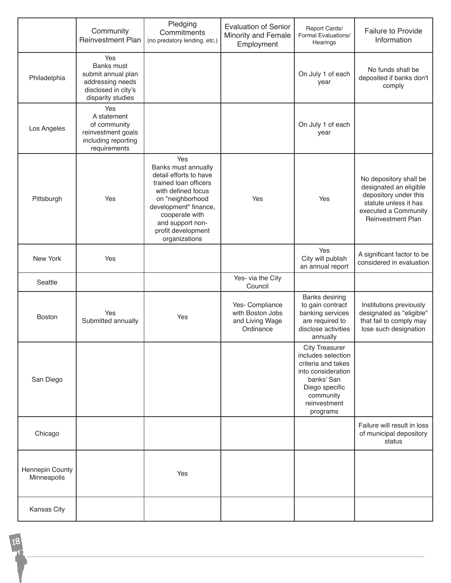|                                | Community<br><b>Reinvestment Plan</b>                                                                          | Pledging<br>Commitments<br>(no predatory lending, etc.)                                                                                                                                                                       | <b>Evaluation of Senior</b><br>Minority and Female<br>Employment    | Report Cards/<br>Formal Evaluations/<br>Hearings                                                                                                                 | <b>Failure to Provide</b><br>Information                                                                                                               |
|--------------------------------|----------------------------------------------------------------------------------------------------------------|-------------------------------------------------------------------------------------------------------------------------------------------------------------------------------------------------------------------------------|---------------------------------------------------------------------|------------------------------------------------------------------------------------------------------------------------------------------------------------------|--------------------------------------------------------------------------------------------------------------------------------------------------------|
| Philadelphia                   | Yes<br><b>Banks must</b><br>submit annual plan<br>addressing needs<br>disclosed in city's<br>disparity studies |                                                                                                                                                                                                                               |                                                                     | On July 1 of each<br>year                                                                                                                                        | No funds shall be<br>deposited if banks don't<br>comply                                                                                                |
| Los Angeles                    | Yes<br>A statement<br>of community<br>reinvestment goals<br>including reporting<br>requirements                |                                                                                                                                                                                                                               |                                                                     | On July 1 of each<br>year                                                                                                                                        |                                                                                                                                                        |
| Pittsburgh                     | Yes                                                                                                            | Yes<br>Banks must annually<br>detail efforts to have<br>trained loan officers<br>with defined focus<br>on "neighborhood<br>development" finance,<br>cooperate with<br>and support non-<br>profit development<br>organizations | Yes                                                                 | Yes                                                                                                                                                              | No depository shall be<br>designated an eligible<br>depository under this<br>statute unless it has<br>executed a Community<br><b>Reinvestment Plan</b> |
| New York                       | Yes                                                                                                            |                                                                                                                                                                                                                               |                                                                     | Yes<br>City will publish<br>an annual report                                                                                                                     | A significant factor to be<br>considered in evaluation                                                                                                 |
| Seattle                        |                                                                                                                |                                                                                                                                                                                                                               | Yes- via the City<br>Council                                        |                                                                                                                                                                  |                                                                                                                                                        |
| Boston                         | Yes<br>Submitted annually                                                                                      | Yes                                                                                                                                                                                                                           | Yes- Compliance<br>with Boston Jobs<br>and Living Wage<br>Ordinance | <b>Banks desiring</b><br>to gain contract<br>banking services<br>are required to<br>disclose activities<br>annually                                              | Institutions previously<br>designated as "eligible"<br>that fail to comply may<br>lose such designation                                                |
| San Diego                      |                                                                                                                |                                                                                                                                                                                                                               |                                                                     | <b>City Treasurer</b><br>includes selection<br>criteria and takes<br>into consideration<br>banks' San<br>Diego specific<br>community<br>reinvestment<br>programs |                                                                                                                                                        |
| Chicago                        |                                                                                                                |                                                                                                                                                                                                                               |                                                                     |                                                                                                                                                                  | Failure will result in loss<br>of municipal depository<br>status                                                                                       |
| Hennepin County<br>Minneapolis |                                                                                                                | Yes                                                                                                                                                                                                                           |                                                                     |                                                                                                                                                                  |                                                                                                                                                        |
| Kansas City                    |                                                                                                                |                                                                                                                                                                                                                               |                                                                     |                                                                                                                                                                  |                                                                                                                                                        |

18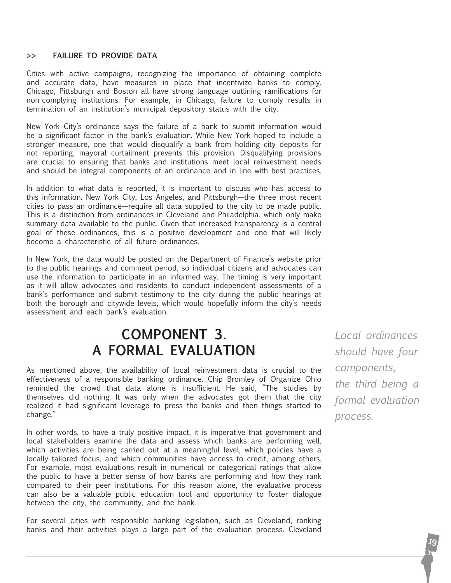#### **>> Failure to Provide Data**

Cities with active campaigns, recognizing the importance of obtaining complete and accurate data, have measures in place that incentivize banks to comply. Chicago, Pittsburgh and Boston all have strong language outlining ramifications for non-complying institutions. For example, in Chicago, failure to comply results in termination of an institution's municipal depository status with the city.

New York City's ordinance says the failure of a bank to submit information would be a significant factor in the bank's evaluation. While New York hoped to include a stronger measure, one that would disqualify a bank from holding city deposits for not reporting, mayoral curtailment prevents this provision. Disqualifying provisions are crucial to ensuring that banks and institutions meet local reinvestment needs and should be integral components of an ordinance and in line with best practices.

In addition to what data is reported, it is important to discuss who has access to this information. New York City, Los Angeles, and Pittsburgh—the three most recent cities to pass an ordinance—require all data supplied to the city to be made public. This is a distinction from ordinances in Cleveland and Philadelphia, which only make summary data available to the public. Given that increased transparency is a central goal of these ordinances, this is a positive development and one that will likely become a characteristic of all future ordinances.

In New York, the data would be posted on the Department of Finance's website prior to the public hearings and comment period, so individual citizens and advocates can use the information to participate in an informed way. The timing is very important as it will allow advocates and residents to conduct independent assessments of a bank's performance and submit testimony to the city during the public hearings at both the borough and citywide levels, which would hopefully inform the city's needs assessment and each bank's evaluation.

## **component 3. a formal Evaluation**

As mentioned above, the availability of local reinvestment data is crucial to the effectiveness of a responsible banking ordinance. Chip Bromley of Organize Ohio reminded the crowd that data alone is insufficient. He said, "The studies by themselves did nothing. It was only when the advocates got them that the city realized it had significant leverage to press the banks and then things started to change."

In other words, to have a truly positive impact, it is imperative that government and local stakeholders examine the data and assess which banks are performing well, which activities are being carried out at a meaningful level, which policies have a locally tailored focus, and which communities have access to credit, among others. For example, most evaluations result in numerical or categorical ratings that allow the public to have a better sense of how banks are performing and how they rank compared to their peer institutions. For this reason alone, the evaluative process can also be a valuable public education tool and opportunity to foster dialogue between the city, the community, and the bank.

For several cities with responsible banking legislation, such as Cleveland, ranking banks and their activities plays a large part of the evaluation process. Cleveland

*Local ordinances should have four components, the third being a formal evaluation process.*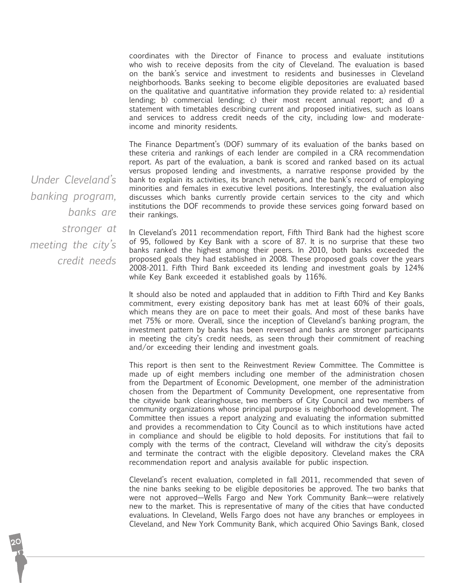coordinates with the Director of Finance to process and evaluate institutions who wish to receive deposits from the city of Cleveland. The evaluation is based on the bank's service and investment to residents and businesses in Cleveland neighborhoods. `Banks seeking to become eligible depositories are evaluated based on the qualitative and quantitative information they provide related to: a) residential lending; b) commercial lending; c) their most recent annual report; and d) a statement with timetables describing current and proposed initiatives, such as loans and services to address credit needs of the city, including low- and moderateincome and minority residents.

The Finance Department's (DOF) summary of its evaluation of the banks based on these criteria and rankings of each lender are compiled in a CRA recommendation report. As part of the evaluation, a bank is scored and ranked based on its actual versus proposed lending and investments, a narrative response provided by the bank to explain its activities, its branch network, and the bank's record of employing minorities and females in executive level positions. Interestingly, the evaluation also discusses which banks currently provide certain services to the city and which institutions the DOF recommends to provide these services going forward based on their rankings.

In Cleveland's 2011 recommendation report, Fifth Third Bank had the highest score of 95, followed by Key Bank with a score of 87. It is no surprise that these two banks ranked the highest among their peers. In 2010, both banks exceeded the proposed goals they had established in 2008. These proposed goals cover the years 2008-2011. Fifth Third Bank exceeded its lending and investment goals by 124% while Key Bank exceeded it established goals by 116%.

It should also be noted and applauded that in addition to Fifth Third and Key Banks commitment, every existing depository bank has met at least 60% of their goals, which means they are on pace to meet their goals. And most of these banks have met 75% or more. Overall, since the inception of Cleveland's banking program, the investment pattern by banks has been reversed and banks are stronger participants in meeting the city's credit needs, as seen through their commitment of reaching and/or exceeding their lending and investment goals.

This report is then sent to the Reinvestment Review Committee. The Committee is made up of eight members including one member of the administration chosen from the Department of Economic Development, one member of the administration chosen from the Department of Community Development, one representative from the citywide bank clearinghouse, two members of City Council and two members of community organizations whose principal purpose is neighborhood development. The Committee then issues a report analyzing and evaluating the information submitted and provides a recommendation to City Council as to which institutions have acted in compliance and should be eligible to hold deposits. For institutions that fail to comply with the terms of the contract, Cleveland will withdraw the city's deposits and terminate the contract with the eligible depository. Cleveland makes the CRA recommendation report and analysis available for public inspection.

Cleveland's recent evaluation, completed in fall 2011, recommended that seven of the nine banks seeking to be eligible depositories be approved. The two banks that were not approved—Wells Fargo and New York Community Bank—were relatively new to the market. This is representative of many of the cities that have conducted evaluations. In Cleveland, Wells Fargo does not have any branches or employees in Cleveland, and New York Community Bank, which acquired Ohio Savings Bank, closed

*Under Cleveland's banking program, banks are stronger at meeting the city's credit needs*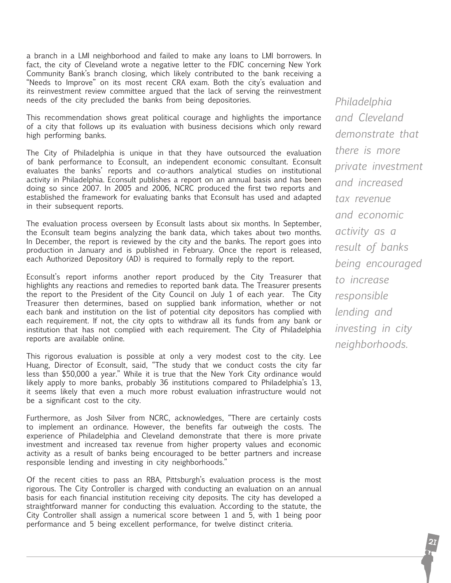a branch in a LMI neighborhood and failed to make any loans to LMI borrowers. In fact, the city of Cleveland wrote a negative letter to the FDIC concerning New York Community Bank's branch closing, which likely contributed to the bank receiving a "Needs to Improve" on its most recent CRA exam. Both the city's evaluation and its reinvestment review committee argued that the lack of serving the reinvestment needs of the city precluded the banks from being depositories.

This recommendation shows great political courage and highlights the importance of a city that follows up its evaluation with business decisions which only reward high performing banks.

The City of Philadelphia is unique in that they have outsourced the evaluation of bank performance to Econsult, an independent economic consultant. Econsult evaluates the banks' reports and co-authors analytical studies on institutional activity in Philadelphia. Econsult publishes a report on an annual basis and has been doing so since 2007. In 2005 and 2006, NCRC produced the first two reports and established the framework for evaluating banks that Econsult has used and adapted in their subsequent reports.

The evaluation process overseen by Econsult lasts about six months. In September, the Econsult team begins analyzing the bank data, which takes about two months. In December, the report is reviewed by the city and the banks. The report goes into production in January and is published in February. Once the report is released, each Authorized Depository (AD) is required to formally reply to the report.

Econsult's report informs another report produced by the City Treasurer that highlights any reactions and remedies to reported bank data. The Treasurer presents the report to the President of the City Council on July 1 of each year. The City Treasurer then determines, based on supplied bank information, whether or not each bank and institution on the list of potential city depositors has complied with each requirement. If not, the city opts to withdraw all its funds from any bank or institution that has not complied with each requirement. The City of Philadelphia reports are available online.

This rigorous evaluation is possible at only a very modest cost to the city. Lee Huang, Director of Econsult, said, "The study that we conduct costs the city far less than \$50,000 a year." While it is true that the New York City ordinance would likely apply to more banks, probably 36 institutions compared to Philadelphia's 13, it seems likely that even a much more robust evaluation infrastructure would not be a significant cost to the city.

Furthermore, as Josh Silver from NCRC, acknowledges, "There are certainly costs to implement an ordinance. However, the benefits far outweigh the costs. The experience of Philadelphia and Cleveland demonstrate that there is more private investment and increased tax revenue from higher property values and economic activity as a result of banks being encouraged to be better partners and increase responsible lending and investing in city neighborhoods."

Of the recent cities to pass an RBA, Pittsburgh's evaluation process is the most rigorous. The City Controller is charged with conducting an evaluation on an annual basis for each financial institution receiving city deposits. The city has developed a straightforward manner for conducting this evaluation. According to the statute, the City Controller shall assign a numerical score between 1 and 5, with 1 being poor performance and 5 being excellent performance, for twelve distinct criteria.

*Philadelphia and Cleveland demonstrate that there is more private investment and increased tax revenue and economic activity as a result of banks being encouraged to increase responsible lending and investing in city neighborhoods.*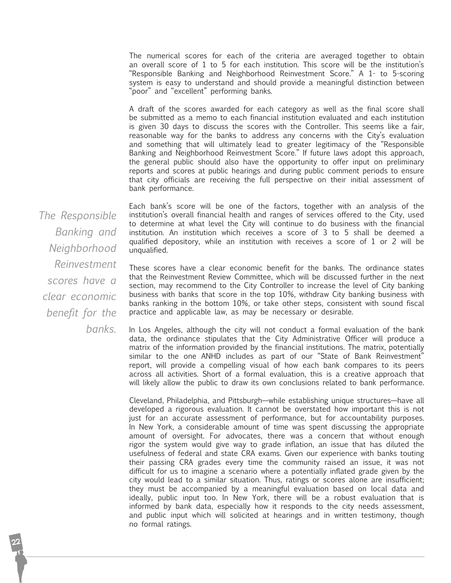The numerical scores for each of the criteria are averaged together to obtain an overall score of 1 to 5 for each institution. This score will be the institution's "Responsible Banking and Neighborhood Reinvestment Score." A 1- to 5-scoring system is easy to understand and should provide a meaningful distinction between "poor" and "excellent" performing banks.

A draft of the scores awarded for each category as well as the final score shall be submitted as a memo to each financial institution evaluated and each institution is given 30 days to discuss the scores with the Controller. This seems like a fair, reasonable way for the banks to address any concerns with the City's evaluation and something that will ultimately lead to greater legitimacy of the "Responsible Banking and Neighborhood Reinvestment Score." If future laws adopt this approach, the general public should also have the opportunity to offer input on preliminary reports and scores at public hearings and during public comment periods to ensure that city officials are receiving the full perspective on their initial assessment of bank performance.

*The Responsible Banking and Neighborhood Reinvestment scores have a clear economic benefit for the banks.* 

Each bank's score will be one of the factors, together with an analysis of the institution's overall financial health and ranges of services offered to the City, used to determine at what level the City will continue to do business with the financial institution. An institution which receives a score of 3 to 5 shall be deemed a qualified depository, while an institution with receives a score of 1 or 2 will be unqualified.

These scores have a clear economic benefit for the banks. The ordinance states that the Reinvestment Review Committee, which will be discussed further in the next section, may recommend to the City Controller to increase the level of City banking business with banks that score in the top 10%, withdraw City banking business with banks ranking in the bottom 10%, or take other steps, consistent with sound fiscal practice and applicable law, as may be necessary or desirable.

In Los Angeles, although the city will not conduct a formal evaluation of the bank data, the ordinance stipulates that the City Administrative Officer will produce a matrix of the information provided by the financial institutions. The matrix, potentially similar to the one ANHD includes as part of our "State of Bank Reinvestment" report, will provide a compelling visual of how each bank compares to its peers across all activities. Short of a formal evaluation, this is a creative approach that will likely allow the public to draw its own conclusions related to bank performance.

Cleveland, Philadelphia, and Pittsburgh—while establishing unique structures—have all developed a rigorous evaluation. It cannot be overstated how important this is not just for an accurate assessment of performance, but for accountability purposes. In New York, a considerable amount of time was spent discussing the appropriate amount of oversight. For advocates, there was a concern that without enough rigor the system would give way to grade inflation, an issue that has diluted the usefulness of federal and state CRA exams. Given our experience with banks touting their passing CRA grades every time the community raised an issue, it was not difficult for us to imagine a scenario where a potentially inflated grade given by the city would lead to a similar situation. Thus, ratings or scores alone are insufficient; they must be accompanied by a meaningful evaluation based on local data and ideally, public input too. In New York, there will be a robust evaluation that is informed by bank data, especially how it responds to the city needs assessment, and public input which will solicited at hearings and in written testimony, though no formal ratings.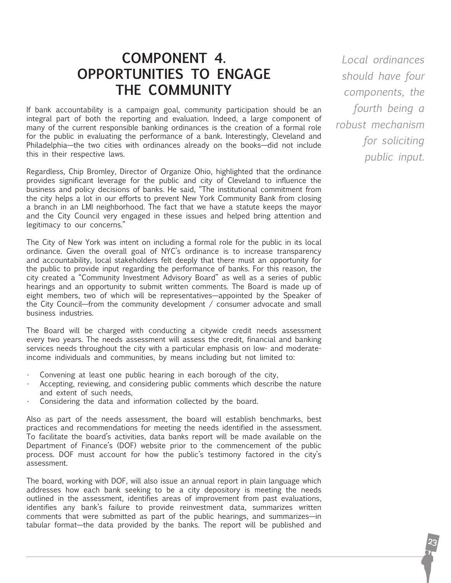### **component 4. Opportunities to Engage the Community**

If bank accountability is a campaign goal, community participation should be an integral part of both the reporting and evaluation. Indeed, a large component of many of the current responsible banking ordinances is the creation of a formal role for the public in evaluating the performance of a bank. Interestingly, Cleveland and Philadelphia—the two cities with ordinances already on the books—did not include this in their respective laws.

Regardless, Chip Bromley, Director of Organize Ohio, highlighted that the ordinance provides significant leverage for the public and city of Cleveland to influence the business and policy decisions of banks. He said, "The institutional commitment from the city helps a lot in our efforts to prevent New York Community Bank from closing a branch in an LMI neighborhood. The fact that we have a statute keeps the mayor and the City Council very engaged in these issues and helped bring attention and legitimacy to our concerns."

The City of New York was intent on including a formal role for the public in its local ordinance. Given the overall goal of NYC's ordinance is to increase transparency and accountability, local stakeholders felt deeply that there must an opportunity for the public to provide input regarding the performance of banks. For this reason, the city created a "Community Investment Advisory Board" as well as a series of public hearings and an opportunity to submit written comments. The Board is made up of eight members, two of which will be representatives—appointed by the Speaker of the City Council—from the community development / consumer advocate and small business industries.

The Board will be charged with conducting a citywide credit needs assessment every two years. The needs assessment will assess the credit, financial and banking services needs throughout the city with a particular emphasis on low- and moderateincome individuals and communities, by means including but not limited to:

- Convening at least one public hearing in each borough of the city,
- Accepting, reviewing, and considering public comments which describe the nature and extent of such needs,
- Considering the data and information collected by the board.

Also as part of the needs assessment, the board will establish benchmarks, best practices and recommendations for meeting the needs identified in the assessment. To facilitate the board's activities, data banks report will be made available on the Department of Finance's (DOF) website prior to the commencement of the public process. DOF must account for how the public's testimony factored in the city's assessment.

The board, working with DOF, will also issue an annual report in plain language which addresses how each bank seeking to be a city depository is meeting the needs outlined in the assessment, identifies areas of improvement from past evaluations, identifies any bank's failure to provide reinvestment data, summarizes written comments that were submitted as part of the public hearings, and summarizes—in tabular format—the data provided by the banks. The report will be published and

*Local ordinances should have four components, the fourth being a robust mechanism for soliciting public input.*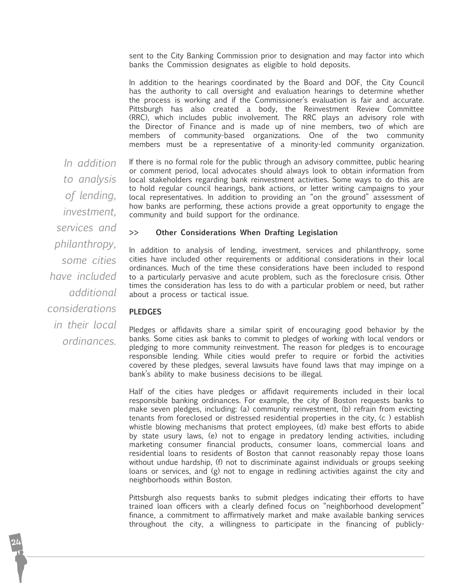sent to the City Banking Commission prior to designation and may factor into which banks the Commission designates as eligible to hold deposits.

In addition to the hearings coordinated by the Board and DOF, the City Council has the authority to call oversight and evaluation hearings to determine whether the process is working and if the Commissioner's evaluation is fair and accurate. Pittsburgh has also created a body, the Reinvestment Review Committee (RRC), which includes public involvement. The RRC plays an advisory role with the Director of Finance and is made up of nine members, two of which are members of community-based organizations. One of the two community members must be a representative of a minority-led community organization.

If there is no formal role for the public through an advisory committee, public hearing or comment period, local advocates should always look to obtain information from local stakeholders regarding bank reinvestment activities. Some ways to do this are to hold regular council hearings, bank actions, or letter writing campaigns to your local representatives. In addition to providing an "on the ground" assessment of how banks are performing, these actions provide a great opportunity to engage the community and build support for the ordinance. *In addition* 

#### **>> Other Considerations When Drafting Legislation**

In addition to analysis of lending, investment, services and philanthropy, some cities have included other requirements or additional considerations in their local ordinances. Much of the time these considerations have been included to respond to a particularly pervasive and acute problem, such as the foreclosure crisis. Other times the consideration has less to do with a particular problem or need, but rather about a process or tactical issue.

#### **Pledges**

Pledges or affidavits share a similar spirit of encouraging good behavior by the banks. Some cities ask banks to commit to pledges of working with local vendors or pledging to more community reinvestment. The reason for pledges is to encourage responsible lending. While cities would prefer to require or forbid the activities covered by these pledges, several lawsuits have found laws that may impinge on a bank's ability to make business decisions to be illegal.

Half of the cities have pledges or affidavit requirements included in their local responsible banking ordinances. For example, the city of Boston requests banks to make seven pledges, including: (a) community reinvestment, (b) refrain from evicting tenants from foreclosed or distressed residential properties in the city, (c ) establish whistle blowing mechanisms that protect employees, (d) make best efforts to abide by state usury laws, (e) not to engage in predatory lending activities, including marketing consumer financial products, consumer loans, commercial loans and residential loans to residents of Boston that cannot reasonably repay those loans without undue hardship, (f) not to discriminate against individuals or groups seeking loans or services, and (g) not to engage in redlining activities against the city and neighborhoods within Boston.

Pittsburgh also requests banks to submit pledges indicating their efforts to have trained loan officers with a clearly defined focus on "neighborhood development" finance, a commitment to affirmatively market and make available banking services throughout the city, a willingness to participate in the financing of publicly-

*to analysis of lending, investment, services and philanthropy, some cities have included additional considerations in their local ordinances.*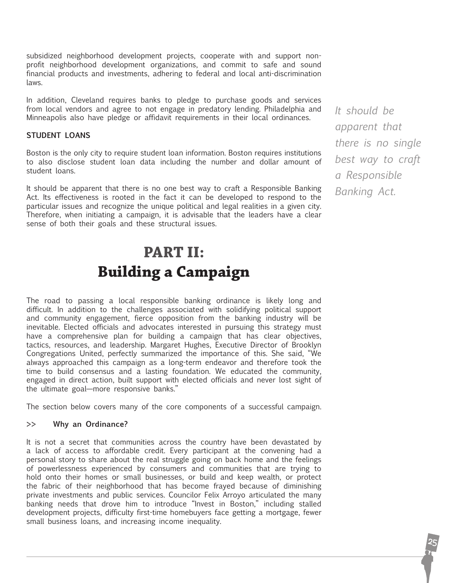subsidized neighborhood development projects, cooperate with and support nonprofit neighborhood development organizations, and commit to safe and sound financial products and investments, adhering to federal and local anti-discrimination laws.

In addition, Cleveland requires banks to pledge to purchase goods and services from local vendors and agree to not engage in predatory lending. Philadelphia and Minneapolis also have pledge or affidavit requirements in their local ordinances.

#### **Student loans**

Boston is the only city to require student loan information. Boston requires institutions to also disclose student loan data including the number and dollar amount of student loans.

It should be apparent that there is no one best way to craft a Responsible Banking Act. Its effectiveness is rooted in the fact it can be developed to respond to the particular issues and recognize the unique political and legal realities in a given city. Therefore, when initiating a campaign, it is advisable that the leaders have a clear sense of both their goals and these structural issues.

## **Part iI: Building a Campaign**

The road to passing a local responsible banking ordinance is likely long and difficult. In addition to the challenges associated with solidifying political support and community engagement, fierce opposition from the banking industry will be inevitable. Elected officials and advocates interested in pursuing this strategy must have a comprehensive plan for building a campaign that has clear objectives, tactics, resources, and leadership. Margaret Hughes, Executive Director of Brooklyn Congregations United, perfectly summarized the importance of this. She said, "We always approached this campaign as a long-term endeavor and therefore took the time to build consensus and a lasting foundation. We educated the community, engaged in direct action, built support with elected officials and never lost sight of the ultimate goal—more responsive banks."

The section below covers many of the core components of a successful campaign.

#### **>> Why an Ordinance?**

It is not a secret that communities across the country have been devastated by a lack of access to affordable credit. Every participant at the convening had a personal story to share about the real struggle going on back home and the feelings of powerlessness experienced by consumers and communities that are trying to hold onto their homes or small businesses, or build and keep wealth, or protect the fabric of their neighborhood that has become frayed because of diminishing private investments and public services. Councilor Felix Arroyo articulated the many banking needs that drove him to introduce "Invest in Boston," including stalled development projects, difficulty first-time homebuyers face getting a mortgage, fewer small business loans, and increasing income inequality.

*It should be apparent that there is no single best way to craft a Responsible Banking Act.*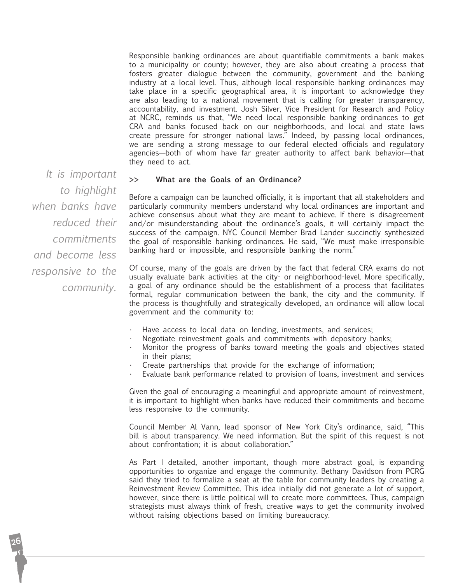Responsible banking ordinances are about quantifiable commitments a bank makes to a municipality or county; however, they are also about creating a process that fosters greater dialogue between the community, government and the banking industry at a local level. Thus, although local responsible banking ordinances may take place in a specific geographical area, it is important to acknowledge they are also leading to a national movement that is calling for greater transparency, accountability, and investment. Josh Silver, Vice President for Research and Policy at NCRC, reminds us that, "We need local responsible banking ordinances to get CRA and banks focused back on our neighborhoods, and local and state laws create pressure for stronger national laws." Indeed, by passing local ordinances, we are sending a strong message to our federal elected officials and regulatory agencies—both of whom have far greater authority to affect bank behavior—that they need to act.

*It is important to highlight when banks have reduced their commitments and become less responsive to the community.*

#### **>> What are the Goals of an Ordinance?**

Before a campaign can be launched officially, it is important that all stakeholders and particularly community members understand why local ordinances are important and achieve consensus about what they are meant to achieve. If there is disagreement and/or misunderstanding about the ordinance's goals, it will certainly impact the success of the campaign. NYC Council Member Brad Lander succinctly synthesized the goal of responsible banking ordinances. He said, "We must make irresponsible banking hard or impossible, and responsible banking the norm."

Of course, many of the goals are driven by the fact that federal CRA exams do not usually evaluate bank activities at the city- or neighborhood-level. More specifically, a goal of any ordinance should be the establishment of a process that facilitates formal, regular communication between the bank, the city and the community. If the process is thoughtfully and strategically developed, an ordinance will allow local government and the community to:

- Have access to local data on lending, investments, and services;
- Negotiate reinvestment goals and commitments with depository banks;
- • Monitor the progress of banks toward meeting the goals and objectives stated in their plans;
- Create partnerships that provide for the exchange of information;
- Evaluate bank performance related to provision of loans, investment and services

Given the goal of encouraging a meaningful and appropriate amount of reinvestment, it is important to highlight when banks have reduced their commitments and become less responsive to the community.

Council Member Al Vann, lead sponsor of New York City's ordinance, said, "This bill is about transparency. We need information. But the spirit of this request is not about confrontation; it is about collaboration."

As Part I detailed, another important, though more abstract goal, is expanding opportunities to organize and engage the community. Bethany Davidson from PCRG said they tried to formalize a seat at the table for community leaders by creating a Reinvestment Review Committee. This idea initially did not generate a lot of support, however, since there is little political will to create more committees. Thus, campaign strategists must always think of fresh, creative ways to get the community involved without raising objections based on limiting bureaucracy.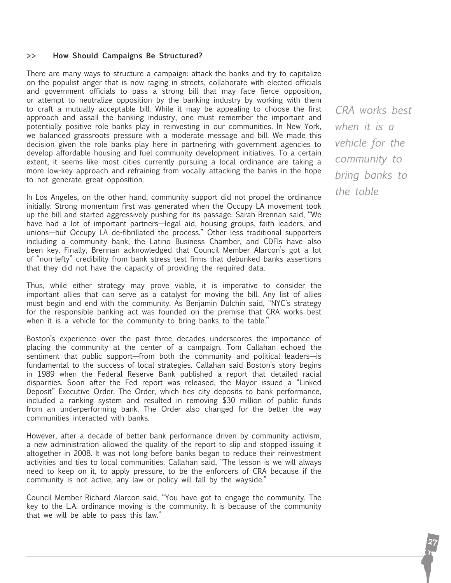#### **>> How Should Campaigns Be Structured?**

There are many ways to structure a campaign: attack the banks and try to capitalize on the populist anger that is now raging in streets, collaborate with elected officials and government officials to pass a strong bill that may face fierce opposition, or attempt to neutralize opposition by the banking industry by working with them to craft a mutually acceptable bill. While it may be appealing to choose the first approach and assail the banking industry, one must remember the important and potentially positive role banks play in reinvesting in our communities. In New York, we balanced grassroots pressure with a moderate message and bill. We made this decision given the role banks play here in partnering with government agencies to develop affordable housing and fuel community development initiatives. To a certain extent, it seems like most cities currently pursuing a local ordinance are taking a more low-key approach and refraining from vocally attacking the banks in the hope to not generate great opposition.

In Los Angeles, on the other hand, community support did not propel the ordinance initially. Strong momentum first was generated when the Occupy LA movement took up the bill and started aggressively pushing for its passage. Sarah Brennan said, "We have had a lot of important partners—legal aid, housing groups, faith leaders, and unions—but Occupy LA de-fibrillated the process." Other less traditional supporters including a community bank, the Latino Business Chamber, and CDFIs have also been key. Finally, Brennan acknowledged that Council Member Alarcon's got a lot of "non-lefty" credibility from bank stress test firms that debunked banks assertions that they did not have the capacity of providing the required data.

Thus, while either strategy may prove viable, it is imperative to consider the important allies that can serve as a catalyst for moving the bill. Any list of allies must begin and end with the community. As Benjamin Dulchin said, "NYC's strategy for the responsible banking act was founded on the premise that CRA works best when it is a vehicle for the community to bring banks to the table."

Boston's experience over the past three decades underscores the importance of placing the community at the center of a campaign. Tom Callahan echoed the sentiment that public support—from both the community and political leaders—is fundamental to the success of local strategies. Callahan said Boston's story begins in 1989 when the Federal Reserve Bank published a report that detailed racial disparities. Soon after the Fed report was released, the Mayor issued a "Linked Deposit" Executive Order. The Order, which ties city deposits to bank performance, included a ranking system and resulted in removing \$30 million of public funds from an underperforming bank. The Order also changed for the better the way communities interacted with banks.

However, after a decade of better bank performance driven by community activism, a new administration allowed the quality of the report to slip and stopped issuing it altogether in 2008. It was not long before banks began to reduce their reinvestment activities and ties to local communities. Callahan said, "The lesson is we will always need to keep on it, to apply pressure, to be the enforcers of CRA because if the community is not active, any law or policy will fall by the wayside."

Council Member Richard Alarcon said, "You have got to engage the community. The key to the L.A. ordinance moving is the community. It is because of the community that we will be able to pass this law."

*CRA works best when it is a vehicle for the community to bring banks to the table*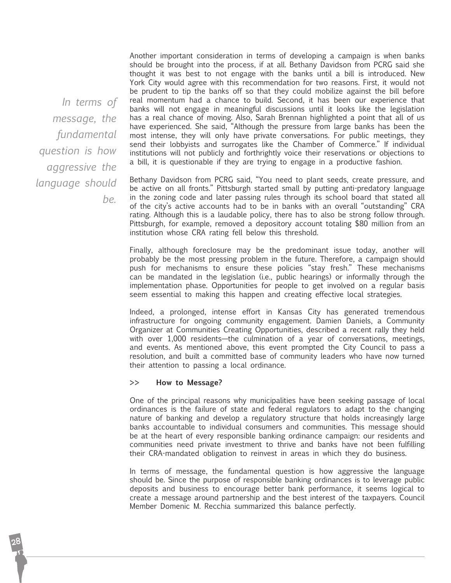*In terms of message, the fundamental question is how aggressive the language should be.*

Another important consideration in terms of developing a campaign is when banks should be brought into the process, if at all. Bethany Davidson from PCRG said she thought it was best to not engage with the banks until a bill is introduced. New York City would agree with this recommendation for two reasons. First, it would not be prudent to tip the banks off so that they could mobilize against the bill before real momentum had a chance to build. Second, it has been our experience that banks will not engage in meaningful discussions until it looks like the legislation has a real chance of moving. Also, Sarah Brennan highlighted a point that all of us have experienced. She said, "Although the pressure from large banks has been the most intense, they will only have private conversations. For public meetings, they send their lobbyists and surrogates like the Chamber of Commerce." If individual institutions will not publicly and forthrightly voice their reservations or objections to a bill, it is questionable if they are trying to engage in a productive fashion.

Bethany Davidson from PCRG said, "You need to plant seeds, create pressure, and be active on all fronts." Pittsburgh started small by putting anti-predatory language in the zoning code and later passing rules through its school board that stated all of the city's active accounts had to be in banks with an overall "outstanding" CRA rating. Although this is a laudable policy, there has to also be strong follow through. Pittsburgh, for example, removed a depository account totaling \$80 million from an institution whose CRA rating fell below this threshold.

Finally, although foreclosure may be the predominant issue today, another will probably be the most pressing problem in the future. Therefore, a campaign should push for mechanisms to ensure these policies "stay fresh." These mechanisms can be mandated in the legislation (i.e., public hearings) or informally through the implementation phase. Opportunities for people to get involved on a regular basis seem essential to making this happen and creating effective local strategies.

Indeed, a prolonged, intense effort in Kansas City has generated tremendous infrastructure for ongoing community engagement. Damien Daniels, a Community Organizer at Communities Creating Opportunities, described a recent rally they held with over 1,000 residents—the culmination of a year of conversations, meetings, and events. As mentioned above, this event prompted the City Council to pass a resolution, and built a committed base of community leaders who have now turned their attention to passing a local ordinance.

#### **>> How to Message?**

One of the principal reasons why municipalities have been seeking passage of local ordinances is the failure of state and federal regulators to adapt to the changing nature of banking and develop a regulatory structure that holds increasingly large banks accountable to individual consumers and communities. This message should be at the heart of every responsible banking ordinance campaign: our residents and communities need private investment to thrive and banks have not been fulfilling their CRA-mandated obligation to reinvest in areas in which they do business.

In terms of message, the fundamental question is how aggressive the language should be. Since the purpose of responsible banking ordinances is to leverage public deposits and business to encourage better bank performance, it seems logical to create a message around partnership and the best interest of the taxpayers. Council Member Domenic M. Recchia summarized this balance perfectly.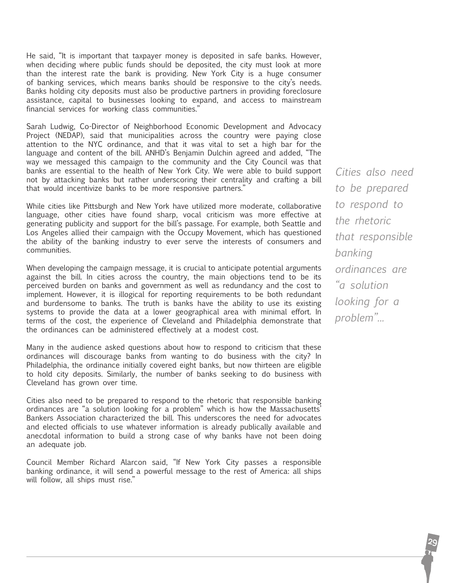He said, "It is important that taxpayer money is deposited in safe banks. However, when deciding where public funds should be deposited, the city must look at more than the interest rate the bank is providing. New York City is a huge consumer of banking services, which means banks should be responsive to the city's needs. Banks holding city deposits must also be productive partners in providing foreclosure assistance, capital to businesses looking to expand, and access to mainstream financial services for working class communities."

Sarah Ludwig, Co-Director of Neighborhood Economic Development and Advocacy Project (NEDAP), said that municipalities across the country were paying close attention to the NYC ordinance, and that it was vital to set a high bar for the language and content of the bill. ANHD's Benjamin Dulchin agreed and added, "The way we messaged this campaign to the community and the City Council was that banks are essential to the health of New York City. We were able to build support not by attacking banks but rather underscoring their centrality and crafting a bill that would incentivize banks to be more responsive partners."

While cities like Pittsburgh and New York have utilized more moderate, collaborative language, other cities have found sharp, vocal criticism was more effective at generating publicity and support for the bill's passage. For example, both Seattle and Los Angeles allied their campaign with the Occupy Movement, which has questioned the ability of the banking industry to ever serve the interests of consumers and communities.

When developing the campaign message, it is crucial to anticipate potential arguments against the bill. In cities across the country, the main objections tend to be its perceived burden on banks and government as well as redundancy and the cost to implement. However, it is illogical for reporting requirements to be both redundant and burdensome to banks. The truth is banks have the ability to use its existing systems to provide the data at a lower geographical area with minimal effort. In terms of the cost, the experience of Cleveland and Philadelphia demonstrate that the ordinances can be administered effectively at a modest cost.

Many in the audience asked questions about how to respond to criticism that these ordinances will discourage banks from wanting to do business with the city? In Philadelphia, the ordinance initially covered eight banks, but now thirteen are eligible to hold city deposits. Similarly, the number of banks seeking to do business with Cleveland has grown over time.

Cities also need to be prepared to respond to the rhetoric that responsible banking ordinances are "a solution looking for a problem" which is how the Massachusetts' Bankers Association characterized the bill. This underscores the need for advocates and elected officials to use whatever information is already publically available and anecdotal information to build a strong case of why banks have not been doing an adequate job.

Council Member Richard Alarcon said, "If New York City passes a responsible banking ordinance, it will send a powerful message to the rest of America: all ships will follow, all ships must rise."

*Cities also need to be prepared to respond to the rhetoric that responsible banking ordinances are "a solution looking for a problem"...*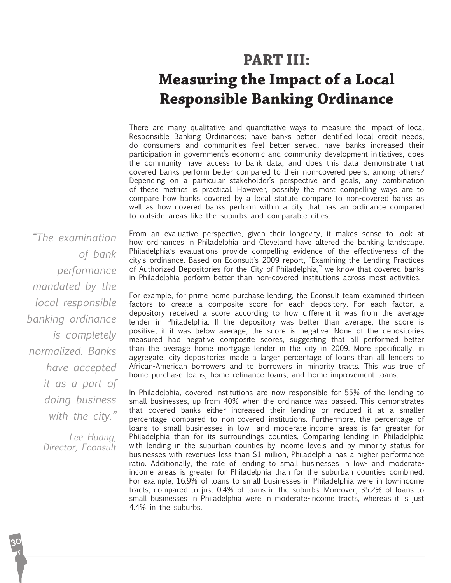# **Part III:**

## **Measuring the Impact of a Local Responsible Banking Ordinance**

There are many qualitative and quantitative ways to measure the impact of local Responsible Banking Ordinances: have banks better identified local credit needs, do consumers and communities feel better served, have banks increased their participation in government's economic and community development initiatives, does the community have access to bank data, and does this data demonstrate that covered banks perform better compared to their non-covered peers, among others? Depending on a particular stakeholder's perspective and goals, any combination of these metrics is practical. However, possibly the most compelling ways are to compare how banks covered by a local statute compare to non-covered banks as well as how covered banks perform within a city that has an ordinance compared to outside areas like the suburbs and comparable cities.

*"The examination of bank performance mandated by the local responsible banking ordinance is completely normalized. Banks have accepted it as a part of doing business with the city."*

> *Lee Huang, Director, Econsult*

From an evaluative perspective, given their longevity, it makes sense to look at how ordinances in Philadelphia and Cleveland have altered the banking landscape. Philadelphia's evaluations provide compelling evidence of the effectiveness of the city's ordinance. Based on Econsult's 2009 report, "Examining the Lending Practices of Authorized Depositories for the City of Philadelphia," we know that covered banks in Philadelphia perform better than non-covered institutions across most activities.

For example, for prime home purchase lending, the Econsult team examined thirteen factors to create a composite score for each depository. For each factor, a depository received a score according to how different it was from the average lender in Philadelphia. If the depository was better than average, the score is positive; if it was below average, the score is negative. None of the depositories measured had negative composite scores, suggesting that all performed better than the average home mortgage lender in the city in 2009. More specifically, in aggregate, city depositories made a larger percentage of loans than all lenders to African-American borrowers and to borrowers in minority tracts. This was true of home purchase loans, home refinance loans, and home improvement loans.

In Philadelphia, covered institutions are now responsible for 55% of the lending to small businesses, up from 40% when the ordinance was passed. This demonstrates that covered banks either increased their lending or reduced it at a smaller percentage compared to non-covered institutions. Furthermore, the percentage of loans to small businesses in low- and moderate-income areas is far greater for Philadelphia than for its surroundings counties. Comparing lending in Philadelphia with lending in the suburban counties by income levels and by minority status for businesses with revenues less than \$1 million, Philadelphia has a higher performance ratio. Additionally, the rate of lending to small businesses in low- and moderateincome areas is greater for Philadelphia than for the suburban counties combined. For example, 16.9% of loans to small businesses in Philadelphia were in low-income tracts, compared to just 0.4% of loans in the suburbs. Moreover, 35.2% of loans to small businesses in Philadelphia were in moderate-income tracts, whereas it is just 4.4% in the suburbs.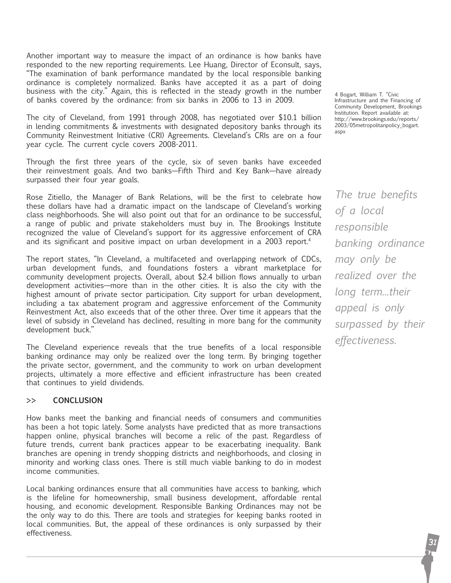Another important way to measure the impact of an ordinance is how banks have responded to the new reporting requirements. Lee Huang, Director of Econsult, says, "The examination of bank performance mandated by the local responsible banking ordinance is completely normalized. Banks have accepted it as a part of doing business with the city." Again, this is reflected in the steady growth in the number of banks covered by the ordinance: from six banks in 2006 to 13 in 2009.

The city of Cleveland, from 1991 through 2008, has negotiated over \$10.1 billion in lending commitments & investments with designated depository banks through its Community Reinvestment Initiative (CRI) Agreements. Cleveland's CRIs are on a four year cycle. The current cycle covers 2008-2011.

Through the first three years of the cycle, six of seven banks have exceeded their reinvestment goals. And two banks—Fifth Third and Key Bank—have already surpassed their four year goals.

Rose Zitiello, the Manager of Bank Relations, will be the first to celebrate how these dollars have had a dramatic impact on the landscape of Cleveland's working class neighborhoods. She will also point out that for an ordinance to be successful, a range of public and private stakeholders must buy in. The Brookings Institute recognized the value of Cleveland's support for its aggressive enforcement of CRA and its significant and positive impact on urban development in a 2003 report.4

The report states, "In Cleveland, a multifaceted and overlapping network of CDCs, urban development funds, and foundations fosters a vibrant marketplace for community development projects. Overall, about \$2.4 billion flows annually to urban development activities—more than in the other cities. It is also the city with the highest amount of private sector participation. City support for urban development, including a tax abatement program and aggressive enforcement of the Community Reinvestment Act, also exceeds that of the other three. Over time it appears that the level of subsidy in Cleveland has declined, resulting in more bang for the community development buck."

The Cleveland experience reveals that the true benefits of a local responsible banking ordinance may only be realized over the long term. By bringing together the private sector, government, and the community to work on urban development projects, ultimately a more effective and efficient infrastructure has been created that continues to yield dividends.

#### **>> Conclusion**

How banks meet the banking and financial needs of consumers and communities has been a hot topic lately. Some analysts have predicted that as more transactions happen online, physical branches will become a relic of the past. Regardless of future trends, current bank practices appear to be exacerbating inequality. Bank branches are opening in trendy shopping districts and neighborhoods, and closing in minority and working class ones. There is still much viable banking to do in modest income communities.

Local banking ordinances ensure that all communities have access to banking, which is the lifeline for homeownership, small business development, affordable rental housing, and economic development. Responsible Banking Ordinances may not be the only way to do this. There are tools and strategies for keeping banks rooted in local communities. But, the appeal of these ordinances is only surpassed by their effectiveness.

4 Bogart, William T. "Civic Infrastructure and the Financing of Community Development, Brookings Institution. Report available at: http://www.brookings.edu/reports/ 2003/05metropolitanpolicy\_bogart. aspx

*The true benefits of a local responsible banking ordinance may only be realized over the long term...their appeal is only surpassed by their effectiveness.*